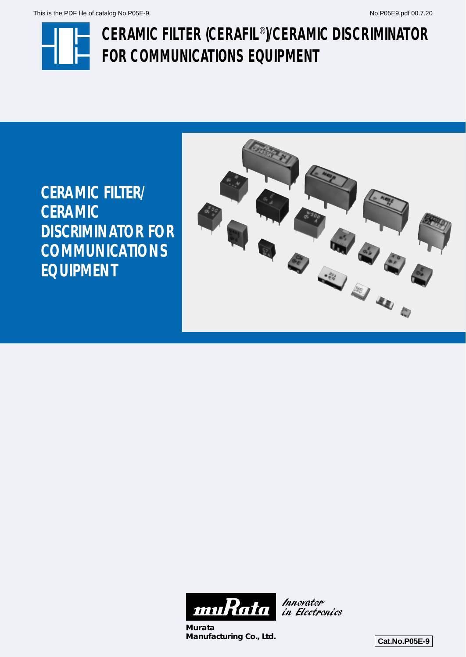

# **CERAMIC FILTER (CERAFIL**®**)/CERAMIC DISCRIMINATOR FOR COMMUNICATIONS EQUIPMENT**

**CERAMIC FILTER/ CERAMIC DISCRIMINATOR FOR COMMUNICATIONS EQUIPMENT**





**Murata Manufacturing Co., Ltd. Cat.No.P05E-9** 

Innovator in Electronics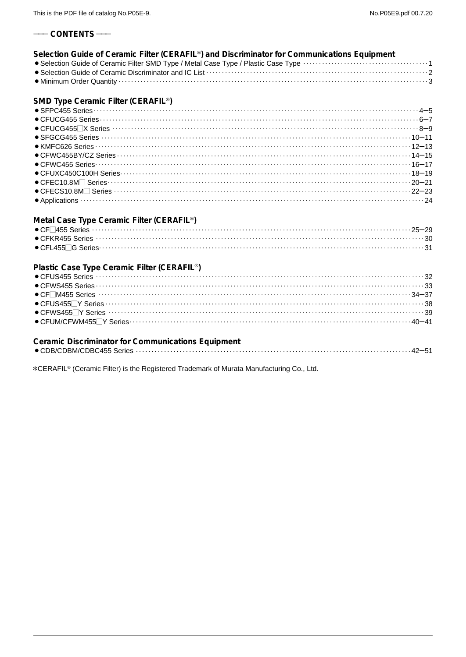#### $-$  CONTENTS  $-$

| Selection Guide of Ceramic Filter (CERAFIL <sup>®</sup> ) and Discriminator for Communications Equipment |  |
|----------------------------------------------------------------------------------------------------------|--|
|                                                                                                          |  |
|                                                                                                          |  |
|                                                                                                          |  |

# SMD Type Ceramic Filter (CERAFIL<sup>®</sup>)

| $\bullet$ CFUCG455 Series                                                                                                                                                                                                                                                                                                             |  |
|---------------------------------------------------------------------------------------------------------------------------------------------------------------------------------------------------------------------------------------------------------------------------------------------------------------------------------------|--|
|                                                                                                                                                                                                                                                                                                                                       |  |
|                                                                                                                                                                                                                                                                                                                                       |  |
|                                                                                                                                                                                                                                                                                                                                       |  |
|                                                                                                                                                                                                                                                                                                                                       |  |
|                                                                                                                                                                                                                                                                                                                                       |  |
|                                                                                                                                                                                                                                                                                                                                       |  |
| $\bullet$ CFEC10.8M $\Box$ Series $\cdots$ $\cdots$ $\cdots$ $\cdots$ $\cdots$ $\cdots$ $\cdots$ $\cdots$ $\cdots$ $\cdots$ $\cdots$ $\cdots$ $\cdots$ $\cdots$ $\cdots$ $\cdots$ $\cdots$ $\cdots$ $\cdots$ $\cdots$ $\cdots$ $\cdots$ $\cdots$ $\cdots$ $\cdots$ $\cdots$ $\cdots$ $\cdots$ $\cdots$ $\cdots$ $\cdots$ $\cdots$ $\$ |  |
|                                                                                                                                                                                                                                                                                                                                       |  |
|                                                                                                                                                                                                                                                                                                                                       |  |

# Metal Case Type Ceramic Filter (CERAFIL<sup>®</sup>)

# Plastic Case Type Ceramic Filter (CERAFIL<sup>®</sup>)

# **Ceramic Discriminator for Communications Equipment**

|--|--|--|

\*CERAFIL<sup>®</sup> (Ceramic Filter) is the Registered Trademark of Murata Manufacturing Co., Ltd.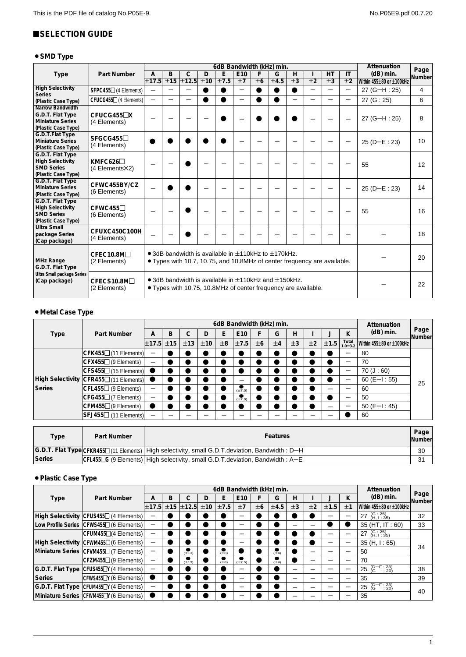# <span id="page-2-0"></span>**SELECTION GUIDE**

# ● SMD Type

|                                                                                               |                                 |                          | 6dB Bandwidth (kHz) min. |                       |     |      |                          |           |                                                                                                                                  | Attenuation        | Page                     |                    |                    |                          |        |
|-----------------------------------------------------------------------------------------------|---------------------------------|--------------------------|--------------------------|-----------------------|-----|------|--------------------------|-----------|----------------------------------------------------------------------------------------------------------------------------------|--------------------|--------------------------|--------------------|--------------------|--------------------------|--------|
| <b>Type</b>                                                                                   | Part Number                     | A                        | B                        | $\mathsf{C}$          | D   | E    | E10                      | F         | G                                                                                                                                | H                  |                          | HT                 | $\mathsf{I}$       | $(dB)$ min.              | Number |
|                                                                                               |                                 | ±17.5                    | ±15                      | $\overline{\pm 12.5}$ | ±10 | ±7.5 | ±7                       | ±6        | ±4.5                                                                                                                             | $\overline{\pm 3}$ | $\overline{+2}$          | $\overline{\pm 3}$ | $\overline{\pm 2}$ | Within 455±80 or ±100kHz |        |
| <b>High Selectivity</b><br><b>Series</b>                                                      | SFPC455□ (4 Elements)           | $\overline{\phantom{0}}$ | $\overline{\phantom{0}}$ | —                     |     |      | —                        | $\bullet$ | $\bullet$                                                                                                                        |                    | $\overline{\phantom{0}}$ | —                  | $\qquad \qquad -$  | $27 (G-H: 25)$           | 4      |
| (Plastic Case Type)                                                                           | CFUCG455□ (4 Elements)          | $\overline{\phantom{0}}$ |                          | —                     |     |      | $\overline{\phantom{0}}$ | ●         |                                                                                                                                  |                    | $\overline{\phantom{0}}$ |                    |                    | 27 (G: 25)               | 6      |
| <b>Narrow Bandwidth</b><br>G.D.T. Flat Type<br><b>Miniature Series</b><br>(Plastic Case Type) | $CFUCG455\n\nX$<br>(4 Elements) |                          |                          |                       |     |      |                          |           |                                                                                                                                  |                    |                          |                    |                    | $27 (G-H: 25)$           | 8      |
| G.D.T.Flat Type<br><b>Miniature Series</b><br>(Plastic Case Type)                             | $SFGCG455\Box$<br>(4 Elements)  |                          |                          |                       |     |      |                          |           |                                                                                                                                  |                    |                          |                    |                    | $25(D-E:23)$             | 10     |
| G.D.T. Flat Type<br><b>High Selectivity</b><br><b>SMD Series</b><br>(Plastic Case Type)       | KMFC626<br>(4 Elements X2)      |                          |                          |                       |     |      |                          |           |                                                                                                                                  |                    |                          |                    |                    | 55                       | 12     |
| G.D.T. Flat Type<br><b>Miniature Series</b><br>(Plastic Case Type)                            | CFWC455BY/CZ<br>(6 Elements)    |                          |                          |                       |     |      |                          |           |                                                                                                                                  |                    |                          |                    |                    | $25(D-E:23)$             | 14     |
| G.D.T. Flat Type<br><b>High Selectivity</b><br><b>SMD Series</b><br>(Plastic Case Type)       | CFWC455<br>(6 Elements)         |                          |                          |                       |     |      |                          |           |                                                                                                                                  |                    |                          |                    |                    | 55                       | 16     |
| <b>Ultra Small</b><br>package Series<br>(Cap package)                                         | CFUXC450C100H<br>(4 Elements)   |                          |                          |                       |     |      |                          |           |                                                                                                                                  |                    |                          |                    |                    |                          | 18     |
| <b>MHz Range</b><br>G.D.T. Flat Type                                                          | CFEC10.8M□<br>(2 Elements)      |                          |                          |                       |     |      |                          |           | • 3dB bandwidth is available in ±110kHz to ±170kHz.<br>• Types with 10.7, 10.75, and 10.8MHz of center frequency are available.  |                    |                          |                    |                    |                          | 20     |
| Ultra Small package Series<br>(Cap package)                                                   | CFECS10.8M□<br>(2 Elements)     |                          |                          |                       |     |      |                          |           | • 3dB bandwidth is available in $\pm$ 110kHz and $\pm$ 150kHz.<br>• Types with 10.75, 10.8MHz of center frequency are available. |                    |                          |                    |                    |                          | 22     |

# ¡**Metal Case Type**

|        |                                                  |                          | 6dB Bandwidth (kHz) min. |     |     |    |                                     |    |    |    |    |      |                      | Attenuation              |                |
|--------|--------------------------------------------------|--------------------------|--------------------------|-----|-----|----|-------------------------------------|----|----|----|----|------|----------------------|--------------------------|----------------|
| Type   | Part Number                                      | А                        | B                        | ⌒   | D   | E  | E <sub>10</sub>                     | F  | G  | н  |    |      | ĸ                    | $(dB)$ min.              | Page<br>Number |
|        |                                                  | $\pm 17.5$               | ±15                      | ±13 | ±10 | ±8 | ±7.5                                | ±6 | ±4 | ±3 | ±2 | ±1.5 | Total<br>$1.0 - 3.2$ | Within 455±80 or ±100kHz |                |
|        | $CFK455\Box$ (11 Elements)                       |                          |                          |     |     |    |                                     |    |    |    |    |      |                      | 80                       |                |
|        | CFX455 <sup>[1</sup> (9 Elements)                | $\overline{\phantom{0}}$ |                          |     |     |    |                                     |    |    |    |    |      |                      | 70                       |                |
|        | $CFS455$ (15 Elements)                           |                          |                          |     |     |    |                                     |    |    |    |    |      |                      | $70($ $J:60)$            |                |
|        | High Selectivity CFR455 <sup>[11 Elements]</sup> |                          |                          |     |     |    |                                     |    |    |    |    |      |                      | $60 (E-I : 55)$          | 25             |
| Series | CFL455 <sup>[1</sup> (9 Elements)                | $\overline{\phantom{0}}$ |                          |     |     |    | $\overline{\left( \pm 7.0 \right)}$ |    |    |    |    |      |                      | 60                       |                |
|        | $\mathsf{CFG455}\square$ (7 Elements)            | $\overline{\phantom{0}}$ |                          |     |     |    | $\sum_{(\pm 7.0)}$                  |    |    |    |    |      |                      | 50                       |                |
|        | CFM455□(9 Elements)                              |                          |                          |     |     |    |                                     |    |    |    |    |      |                      | $50 (E-I : 45)$          |                |
|        | $SFJ455$ (11 Elements)                           | $\overline{\phantom{0}}$ |                          |     |     |    |                                     |    |    |    |    |      |                      | 60                       |                |

| Type   | Part Number | <b>Features</b>                                                                                    | Page $ $<br><b>Number</b> |
|--------|-------------|----------------------------------------------------------------------------------------------------|---------------------------|
|        |             | G.D.T. Flat Type CFKR455□ (11 Elements)   High selectivity, small G.D.T.deviation, Bandwidth : D-H | 30                        |
| Series |             | $ CFL455\Box G$ (9 Elements) High selectivity, small G.D.T. deviation, Bandwidth: A-E              | 31                        |

# ¡**Plastic Case Type**

|             |                                                      |       | 6dB Bandwidth (kHz) min. |             |     |                     |                               |    |                  |    | Attenuation |      |    |                           |                |
|-------------|------------------------------------------------------|-------|--------------------------|-------------|-----|---------------------|-------------------------------|----|------------------|----|-------------|------|----|---------------------------|----------------|
| <b>Type</b> | Part Number                                          | А     | в                        |             | D   |                     | E <sub>10</sub>               |    | G                | н  |             |      |    | $(dB)$ min.               | Page<br>Number |
|             |                                                      | ±17.5 |                          | $±15$ ±12.5 | ±10 | ±7.5                | ±7                            | ±6 | ±4.5             | ±3 | ±2          | ±1.5 | ±1 | Within 455±80 or ±100kHz  |                |
|             | High Selectivity CFUS455 <sup>1</sup> (4 Elements)   |       |                          |             |     |                     |                               |    |                  |    |             |      |    | 27 (G: 25)<br>(H, I: 35)  | 32             |
|             | Low Profile Series CFWS455 <sup>1</sup> (6 Elements) |       |                          |             |     |                     |                               |    |                  |    |             |      |    | 35 (HT, IT: 60)           | 33             |
|             | CFUM455 <sup>1</sup> (4 Elements)                    | -     |                          |             |     |                     |                               |    |                  |    |             |      |    | 27 (G: 25)<br>(H, I: 35)  |                |
|             | High Selectivity CFWM455 <sup>1</sup> (6 Elements)   |       |                          |             |     |                     |                               |    |                  |    |             |      |    | 35(H, 1:65)               | 34             |
|             | Miniature Series   CFVM455□ (7 Elements)             |       |                          | $(\pm 13)$  |     | $\sum_{(\pm 8)}$    |                               |    | $\sum_{(\pm 4)}$ |    |             |      |    | 50                        |                |
|             | CFZM455□ (9 Elements)                                |       |                          | $(\pm 13)$  |     | $\frac{1}{(\pm 8)}$ | $\overline{\text{t}^{2}}$ .5) |    | $\sum_{(\pm 4)}$ |    |             |      |    | 70                        |                |
|             | G.D.T. Flat Type CFUS455□Y (4 Elements)              |       |                          |             |     |                     |                               |    |                  |    |             |      |    | 25 $(D-F:23)$<br>(G : 20) | 38             |
| Series      | CFWS455 <sup>T</sup> Y (6 Elements)                  |       |                          |             |     |                     |                               |    |                  |    |             |      |    | 35                        | 39             |
|             | G.D.T. Flat Type CFUM455DY (4 Elements)              |       |                          |             |     |                     |                               |    |                  |    |             |      |    | 25 $(D-F:23)$             | 40             |
|             | Miniature Series   CFWM455 <sup>™</sup> (6 Elements) |       |                          |             |     |                     |                               |    |                  |    |             |      |    | 35                        |                |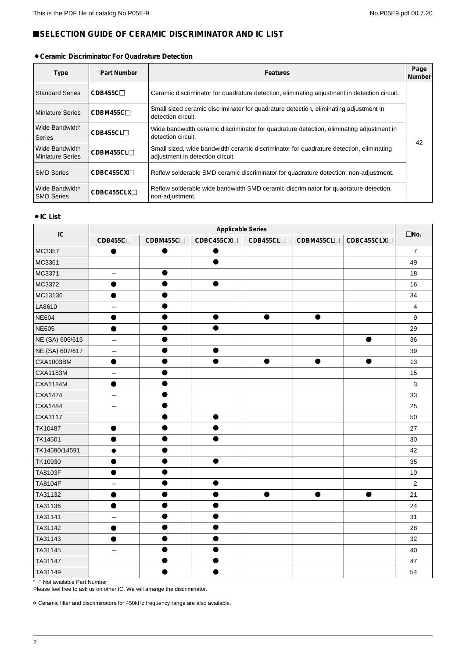# <span id="page-3-0"></span>**ESELECTION GUIDE OF CERAMIC DISCRIMINATOR AND IC LIST**

#### ¡**Ceramic Discriminator For Quadrature Detection**

| Type                                      | Part Number             | <b>Features</b>                                                                                                             | Page<br>Number |
|-------------------------------------------|-------------------------|-----------------------------------------------------------------------------------------------------------------------------|----------------|
| <b>Standard Series</b>                    | CDB455C                 | Ceramic discriminator for quadrature detection, eliminating adjustment in detection circuit.                                |                |
| <b>Miniature Series</b>                   | CDBM455C                | Small sized ceramic discriminator for quadrature detection, eliminating adjustment in<br>detection circuit.                 |                |
| Wide Bandwidth<br><b>Series</b>           | CDB455CL                | Wide bandwidth ceramic discriminator for quadrature detection, eliminating adjustment in<br>detection circuit.              |                |
| Wide Bandwidth<br><b>Miniature Series</b> | CDBM455CL□              | Small sized, wide bandwidth ceramic discriminator for quadrature detection, eliminating<br>adjustment in detection circuit. | 42             |
| <b>SMD Series</b>                         | CDBC455CX <sub>1</sub>  | Reflow solderable SMD ceramic discriminator for quadrature detection, non-adjustment.                                       |                |
| Wide Bandwidth<br><b>SMD Series</b>       | CDBC455CLX <sub>1</sub> | Reflow solderable wide bandwidth SMD ceramic discriminator for quadrature detection,<br>non-adjustment.                     |                |

#### ● **IC List**

| IC              | <b>Applicable Series</b> |           |                        |          |            |                          |                  |  |  |
|-----------------|--------------------------|-----------|------------------------|----------|------------|--------------------------|------------------|--|--|
|                 | CDB455C <sub>D</sub>     | CDBM455CO | CDBC455CX <sub>D</sub> | CDB455CL | CDBM455CLO | CDBC455CLX <sup>[]</sup> | $\square$ No.    |  |  |
| MC3357          | $\bullet$                | $\bullet$ |                        |          |            |                          | $\overline{7}$   |  |  |
| MC3361          |                          |           |                        |          |            |                          | 49               |  |  |
| MC3371          | $\qquad \qquad -$        | $\bullet$ |                        |          |            |                          | 18               |  |  |
| MC3372          |                          |           |                        |          |            |                          | 16               |  |  |
| MC13136         |                          |           |                        |          |            |                          | 34               |  |  |
| LA8610          |                          |           |                        |          |            |                          | 4                |  |  |
| <b>NE604</b>    |                          |           |                        | 0        | ●          |                          | $\boldsymbol{9}$ |  |  |
| <b>NE605</b>    |                          |           |                        |          |            |                          | 29               |  |  |
| NE (SA) 606/616 | $\overline{\phantom{0}}$ |           |                        |          |            | $\bullet$                | 36               |  |  |
| NE (SA) 607/617 | —                        |           |                        |          |            |                          | 39               |  |  |
| CXA1003BM       | ●                        |           |                        |          | $\bullet$  |                          | 13               |  |  |
| <b>CXA1183M</b> |                          |           |                        |          |            |                          | 15               |  |  |
| <b>CXA1184M</b> | ●                        |           |                        |          |            |                          | $\mathbf{3}$     |  |  |
| CXA1474         |                          |           |                        |          |            |                          | 33               |  |  |
| CXA1484         | $\overline{\phantom{0}}$ |           |                        |          |            |                          | 25               |  |  |
| CXA3117         |                          |           |                        |          |            |                          | 50               |  |  |
| TK10487         |                          |           |                        |          |            |                          | 27               |  |  |
| TK14501         |                          |           |                        |          |            |                          | 30               |  |  |
| TK14590/14591   |                          |           |                        |          |            |                          | 42               |  |  |
| TK10930         |                          |           |                        |          |            |                          | 35               |  |  |
| TA8103F         |                          |           |                        |          |            |                          | 10               |  |  |
| TA8104F         |                          |           |                        |          |            |                          | $\overline{2}$   |  |  |
| TA31132         |                          |           |                        |          |            |                          | 21               |  |  |
| TA31136         |                          |           |                        |          |            |                          | 24               |  |  |
| TA31141         |                          |           |                        |          |            |                          | 31               |  |  |
| TA31142         |                          |           |                        |          |            |                          | 28               |  |  |
| TA31143         |                          |           |                        |          |            |                          | 32               |  |  |
| TA31145         |                          |           |                        |          |            |                          | 40               |  |  |
| TA31147         |                          |           |                        |          |            |                          | 47               |  |  |
| TA31149         |                          |           |                        |          |            |                          | 54               |  |  |

"-" Not available Part Number

Please feel free to ask us on other IC. We will arrange the discriminator.

\* Ceramic filter and discriminators for 450kHz frequency range are also available.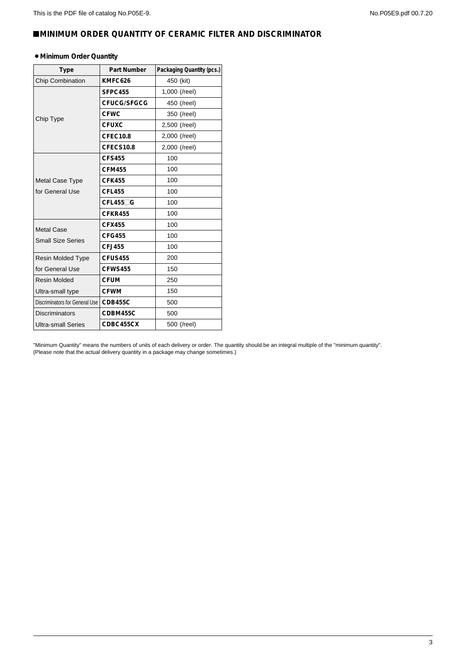# <span id="page-4-0"></span>!**MINIMUM ORDER QUANTITY OF CERAMIC FILTER AND DISCRIMINATOR**

#### ¡**Minimum Order Quantity**

| <b>Type</b>                    | Part Number     | Packaging Quantity (pcs.) |
|--------------------------------|-----------------|---------------------------|
| Chip Combination               | KMFC626         | 450 (kit)                 |
|                                | SFPC455         | 1,000 (/reel)             |
|                                | CFUCG/SFGCG     | 450 (/reel)               |
|                                | <b>CFWC</b>     | 350 (/reel)               |
| Chip Type                      | <b>CFUXC</b>    | 2,500 (/reel)             |
|                                | <b>CFEC10.8</b> | 2,000 (/reel)             |
|                                | CFECS10.8       | 2,000 (/reel)             |
|                                | <b>CFS455</b>   | 100                       |
|                                | <b>CFM455</b>   | 100                       |
| <b>Metal Case Type</b>         | <b>CFK455</b>   | 100                       |
| for General Use                | <b>CFL455</b>   | 100                       |
|                                | $CFL455\Box G$  | 100                       |
|                                | <b>CFKR455</b>  | 100                       |
| <b>Metal Case</b>              | CFX455          | 100                       |
| <b>Small Size Series</b>       | <b>CFG455</b>   | 100                       |
|                                | <b>CFJ455</b>   | 100                       |
| <b>Resin Molded Type</b>       | <b>CFUS455</b>  | 200                       |
| for General Use                | <b>CFWS455</b>  | 150                       |
| <b>Resin Molded</b>            | <b>CFUM</b>     | 250                       |
| Ultra-small type               | <b>CFWM</b>     | 150                       |
| Discriminators for General Use | <b>CDB455C</b>  | 500                       |
| <b>Discriminators</b>          | CDBM455C        | 500                       |
| Ultra-small Series             | CDBC455CX       | 500 (/reel)               |

"Minimum Quantity" means the numbers of units of each delivery or order. The quantity should be an integral multiple of the "minimum quantity". (Please note that the actual delivery quantity in a package may change sometimes.)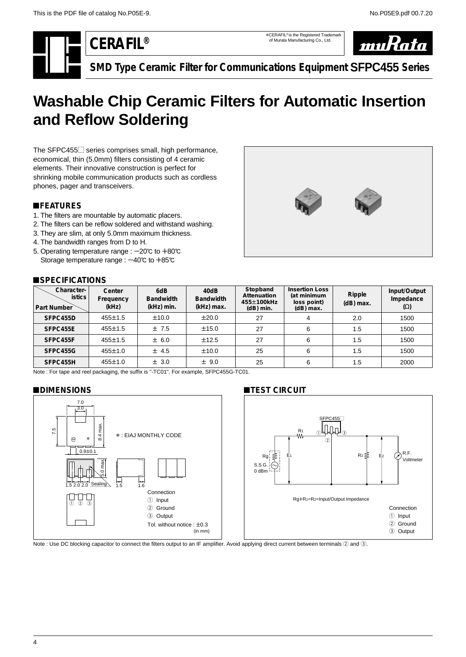\*CERAFIL® is the Registered Trademark of Murata Manufacturing Co., Ltd.



**SMD Type Ceramic Filter for Communications Equipment SFPC455 Series**

# <span id="page-5-0"></span>**Washable Chip Ceramic Filters for Automatic Insertion and Reflow Soldering**

The SFPC455 $\Box$  series comprises small, high performance, economical, thin (5.0mm) filters consisting of 4 ceramic elements. Their innovative construction is perfect for shrinking mobile communication products such as cordless phones, pager and transceivers.

# !**FEATURES**

- 1. The filters are mountable by automatic placers.
- 2. The filters can be reflow soldered and withstand washing.
- 3. They are slim, at only 5.0mm maximum thickness.
- 4. The bandwidth ranges from D to H.
- 5. Operating temperature range :  $-20^{\circ}$ C to  $+80^{\circ}$ C Storage temperature range :  $-40^{\circ}$ C to  $+85^{\circ}$ C

### !**SPECIFICATIONS**



| Character-<br><b>istics</b><br>Part Number | Center<br>Frequency<br>(kHz) | 6dB<br><b>Bandwidth</b><br>(kHz) min. | 40dB<br><b>Bandwidth</b><br>(kHz) max. | Stopband<br>Attenuation<br>455±100kHz<br>$(dB)$ min. | <b>Insertion Loss</b><br>(at minimum<br>loss point)<br>$(dB)$ max. | Ripple<br>$(dB)$ max. | Input/Output<br>Impedance<br>$(\Omega)$ |
|--------------------------------------------|------------------------------|---------------------------------------|----------------------------------------|------------------------------------------------------|--------------------------------------------------------------------|-----------------------|-----------------------------------------|
| SFPC455D                                   | $455 \pm 1.5$                | ±10.0                                 | $\pm 20.0$                             | 27                                                   |                                                                    | 2.0                   | 1500                                    |
| SFPC455E                                   | $455 \pm 1.5$                | ±7.5                                  | ±15.0                                  | 27                                                   | 6                                                                  | 1.5                   | 1500                                    |
| SFPC455F                                   | $455 \pm 1.5$                | ± 6.0                                 | ±12.5                                  | 27                                                   | 6                                                                  | 1.5                   | 1500                                    |
| SFPC455G                                   | $455 \pm 1.0$                | ± 4.5                                 | ±10.0                                  | 25                                                   | 6                                                                  | 1.5                   | 1500                                    |
| SFPC455H                                   | $455 \pm 1.0$                | ± 3.0                                 | ± 9.0                                  | 25                                                   | 6                                                                  | 1.5                   | 2000                                    |

Note : For tape and reel packaging, the suffix is "-TC01". For example, SFPC455G-TC01.

#### !**DIMENSIONS**



# **TEST CIRCUIT**



Note : Use DC blocking capacitor to connect the filters output to an IF amplifier. Avoid applying direct current between terminals 2 and 3.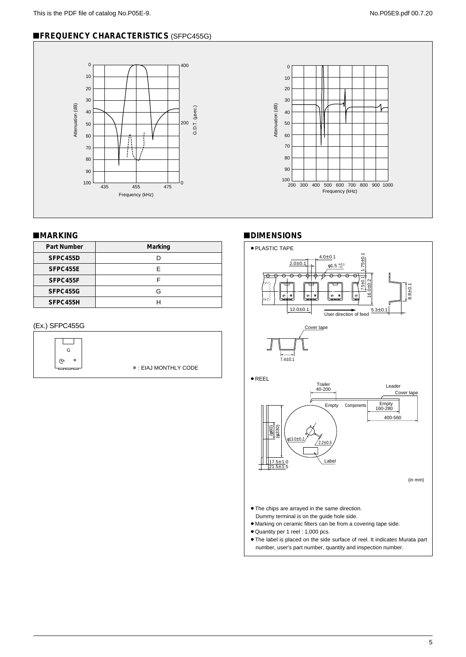# !**FREQUENCY CHARACTERISTICS** (SFPC455G)





# ■**MARKING**

| <b>Part Number</b> | Marking |
|--------------------|---------|
| SFPC455D           |         |
| SFPC455E           | F       |
| SFPC455F           |         |
| SFPC455G           | G       |
| SFPC455H           |         |

# (Ex.) SFPC455G



### !**DIMENSIONS**

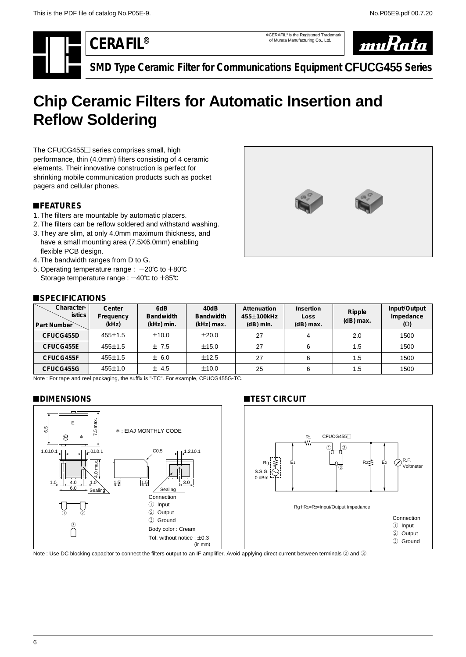R.F. Voltmeter

<span id="page-7-0"></span>**CERAFIL®**

\*CERAFIL® is the Registered Trademark of Murata Manufacturing Co., Ltd.



**SMD Type Ceramic Filter for Communications Equipment CFUCG455 Series**

# **Chip Ceramic Filters for Automatic Insertion and Reflow Soldering**

The CFUCG455 $\Box$  series comprises small, high performance, thin (4.0mm) filters consisting of 4 ceramic elements. Their innovative construction is perfect for shrinking mobile communication products such as pocket pagers and cellular phones.

# !**FEATURES**

- 1. The filters are mountable by automatic placers.
- 2. The filters can be reflow soldered and withstand washing.
- 3. They are slim, at only 4.0mm maximum thickness, and have a small mounting area (7.5X6.0mm) enabling flexible PCB design.
- 4. The bandwidth ranges from D to G.
- 5. Operating temperature range :  $-20^{\circ}$  to  $+80^{\circ}$ Storage temperature range :  $-40^{\circ}$ C to  $+85^{\circ}$ C



### !**SPECIFICATIONS**

| Character-<br><b>istics</b><br>Part Number | Center<br>Frequency<br>(kHz) | 6dB<br><b>Bandwidth</b><br>(kHz) min. | 40dB<br><b>Bandwidth</b><br>(kHz) max. | Attenuation<br>455±100kHz<br>$(dB)$ min. | <b>Insertion</b><br>Loss<br>$(d)$ max. | Ripple<br>$(dB)$ max. | Input/Output<br>Impedance<br>$(\Omega)$ |
|--------------------------------------------|------------------------------|---------------------------------------|----------------------------------------|------------------------------------------|----------------------------------------|-----------------------|-----------------------------------------|
| CFUCG455D                                  | $455 \pm 1.5$                | ±10.0                                 | $\pm 20.0$                             | 27                                       |                                        | 2.0                   | 1500                                    |
| CFUCG455E                                  | $455 \pm 1.5$                | ±7.5                                  | ±15.0                                  | 27                                       | 6                                      | 1.5                   | 1500                                    |
| CFUCG455F                                  | $455 \pm 1.5$                | ± 6.0                                 | ±12.5                                  | 27                                       | 6                                      | 1.5                   | 1500                                    |
| CFUCG455G                                  | $455 \pm 1.0$                | $±$ 4.5                               | ±10.0                                  | 25                                       | 6                                      | 1.5                   | 1500                                    |

Note : For tape and reel packaging, the suffix is "-TC". For example, CFUCG455G-TC.

# !**DIMENSIONS**



Note : Use DC blocking capacitor to connect the filters output to an IF amplifier. Avoid applying direct current between terminals 2 and 3.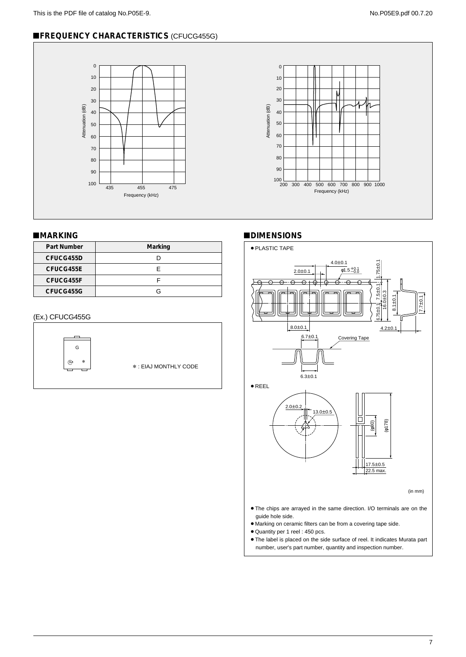# !**FREQUENCY CHARACTERISTICS** (CFUCG455G)



# !**MARKING**

| Part Number | Marking |
|-------------|---------|
| CFUCG455D   |         |
| CFUCG455E   | F       |
| CFUCG455F   |         |
| CFUCG455G   | G       |

# (Ex.) CFUCG455G



# !**DIMENSIONS**



¡The label is placed on the side surface of reel. It indicates Murata part number, user's part number, quantity and inspection number.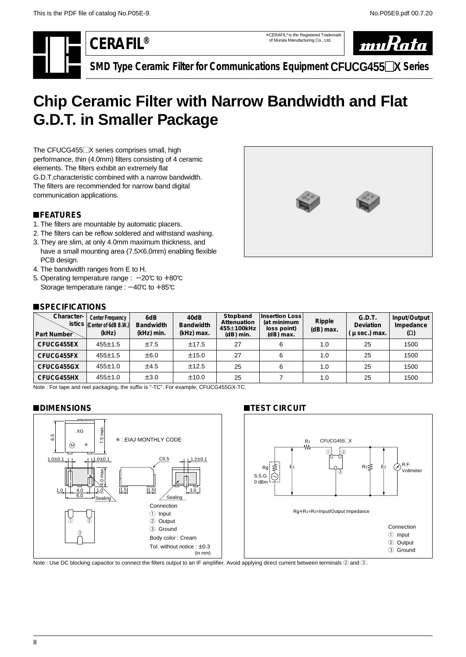\*CERAFIL® is the Registered Trademark of Murata Manufacturing Co., Ltd.



**SMD Type Ceramic Filter for Communications Equipment CFUCG455**-**X Series**

# <span id="page-9-0"></span>**Chip Ceramic Filter with Narrow Bandwidth and Flat G.D.T. in Smaller Package**

The CFUCG455<sup>-X</sup> series comprises small, high performance, thin (4.0mm) filters consisting of 4 ceramic elements. The filters exhibit an extremely flat G.D.T.characteristic combined with a narrow bandwidth. The filters are recommended for narrow band digital communication applications.

# !**FEATURES**

- 1. The filters are mountable by automatic placers.
- 2. The filters can be reflow soldered and withstand washing.
- 3. They are slim, at only 4.0mm maximum thickness, and have a small mounting area (7.5X6.0mm) enabling flexible PCB design.
- 4. The bandwidth ranges from E to H.
- 5. Operating temperature range :  $-20^{\circ}$ C to  $+80^{\circ}$ C Storage temperature range :  $-40^{\circ}$ C to  $+85^{\circ}$ C



#### $B$  **SPECIFICATIONS**

| Character-<br>Part Number | <b>Center Frequency</b><br>istics (Center of 6dB B.W.)<br>(kHz) | 6dB<br><b>Bandwidth</b><br>(kHz) min. | 40dB<br><b>Bandwidth</b><br>(kHz) max. | Stopband<br>Attenuation<br>455±100kHz<br>$(dB)$ min. | Insertion Loss<br>(at minimum<br>loss point)<br>$(dB)$ max. | Ripple<br>$(dB)$ max. | G.D.T.<br>Deviation<br>$\mu$ sec.) max. | Input/Output<br>Impedance<br>$(\Omega)$ |
|---------------------------|-----------------------------------------------------------------|---------------------------------------|----------------------------------------|------------------------------------------------------|-------------------------------------------------------------|-----------------------|-----------------------------------------|-----------------------------------------|
| CFUCG455EX                | $455 \pm 1.5$                                                   | ±7.5                                  | ±17.5                                  | 27                                                   | 6                                                           | 1.0                   | 25                                      | 1500                                    |
| CFUCG455FX                | $455 \pm 1.5$                                                   | ±6.0                                  | ±15.0                                  | 27                                                   | 6                                                           | 1.0                   | 25                                      | 1500                                    |
| CFUCG455GX                | $455 \pm 1.0$                                                   | ±4.5                                  | ±12.5                                  | 25                                                   | 6                                                           | 1.0                   | 25                                      | 1500                                    |
| CFUCG455HX                | $455 \pm 1.0$                                                   | $\pm 3.0$                             | ±10.0                                  | 25                                                   |                                                             | 1.0                   | 25                                      | 1500                                    |

Note : For tape and reel packaging, the suffix is "-TC". For example, CFUCG455GX-TC.

#### !**DIMENSIONS**



# **TEST CIRCUIT**



Note : Use DC blocking capacitor to connect the filters output to an IF amplifier. Avoid applying direct current between terminals 2 and 3.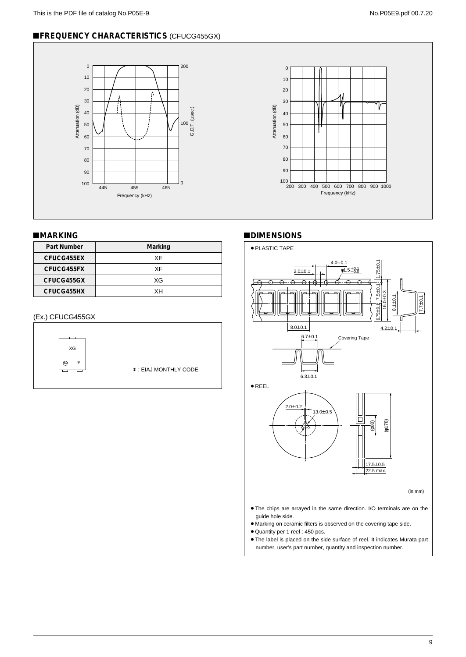# !**FREQUENCY CHARACTERISTICS** (CFUCG455GX)



# !**MARKING**

| Part Number | Marking |
|-------------|---------|
| CFUCG455EX  | XF.     |
| CFUCG455FX  | XF      |
| CFUCG455GX  | XG      |
| CFUCG455HX  | xн      |

### (Ex.) CFUCG455GX



# !**DIMENSIONS**



 $\bullet$  The label is placed on the side surface of reel. It indicates Murata part number, user's part number, quantity and inspection number.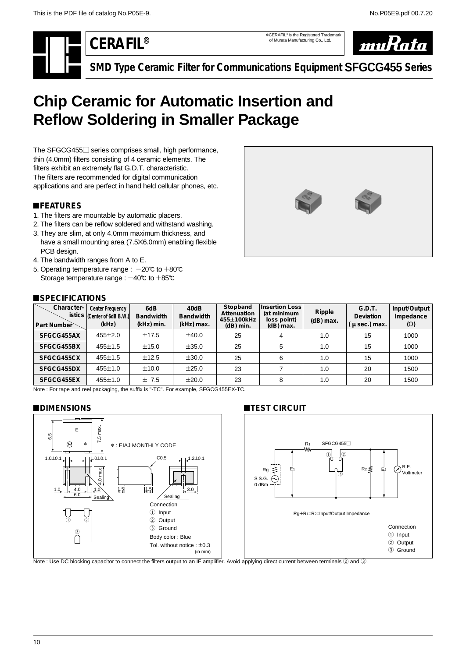\*CERAFIL® is the Registered Trademark of Murata Manufacturing Co., Ltd.



**SMD Type Ceramic Filter for Communications Equipment SFGCG455 Series**

# <span id="page-11-0"></span>**Chip Ceramic for Automatic Insertion and Reflow Soldering in Smaller Package**

The SFGCG455 $\Box$  series comprises small, high performance, thin (4.0mm) filters consisting of 4 ceramic elements. The filters exhibit an extremely flat G.D.T. characteristic. The filters are recommended for digital communication applications and are perfect in hand held cellular phones, etc.

# !**FEATURES**

- 1. The filters are mountable by automatic placers.
- 2. The filters can be reflow soldered and withstand washing.
- 3. They are slim, at only 4.0mm maximum thickness, and have a small mounting area (7.5X6.0mm) enabling flexible PCB design.
- 4. The bandwidth ranges from A to E.
- 5. Operating temperature range :  $-20^{\circ}$  to  $+80^{\circ}$ C Storage temperature range :  $-40^{\circ}$ C to  $+85^{\circ}$ C



# !**SPECIFICATIONS**

| Character-<br>Part Number | <b>Center Frequency</b><br>istics (Center of 6dB B.W.)<br>(kHz) | 6dB<br><b>Bandwidth</b><br>(kHz) min. | 40dB<br><b>Bandwidth</b><br>(kHz) max. | Stopband<br>Attenuation<br>455±100kHz<br>$(dB)$ min. | <b>Insertion Loss</b><br>(at minimum<br>loss point)<br>$(dB)$ max. | Ripple<br>$(dB)$ max. | G.D.T.<br>Deviation<br>$\mu$ sec.) max. | Input/Output<br>Impedance<br>$(\Omega)$ |
|---------------------------|-----------------------------------------------------------------|---------------------------------------|----------------------------------------|------------------------------------------------------|--------------------------------------------------------------------|-----------------------|-----------------------------------------|-----------------------------------------|
| SFGCG455AX                | $455 \pm 2.0$                                                   | ±17.5                                 | ±40.0                                  | 25                                                   | 4                                                                  | 1.0                   | 15                                      | 1000                                    |
| SFGCG455BX                | $455 \pm 1.5$                                                   | ±15.0                                 | ±35.0                                  | 25                                                   | 5                                                                  | 1.0                   | 15                                      | 1000                                    |
| SFGCG455CX                | $455 \pm 1.5$                                                   | ±12.5                                 | ±30.0                                  | 25                                                   | 6                                                                  | 1.0                   | 15                                      | 1000                                    |
| SFGCG455DX                | $455 \pm 1.0$                                                   | ±10.0                                 | ±25.0                                  | 23                                                   |                                                                    | 1.0                   | 20                                      | 1500                                    |
| SFGCG455EX                | $455 \pm 1.0$                                                   | ±7.5                                  | ±20.0                                  | 23                                                   | 8                                                                  | 1.0                   | 20                                      | 1500                                    |

Note : For tape and reel packaging, the suffix is "-TC". For example, SFGCG455EX-TC.

### !**DIMENSIONS**



# **TEST CIRCUIT**



Note : Use DC blocking capacitor to connect the filters output to an IF amplifier. Avoid applying direct current between terminals 2 and 3.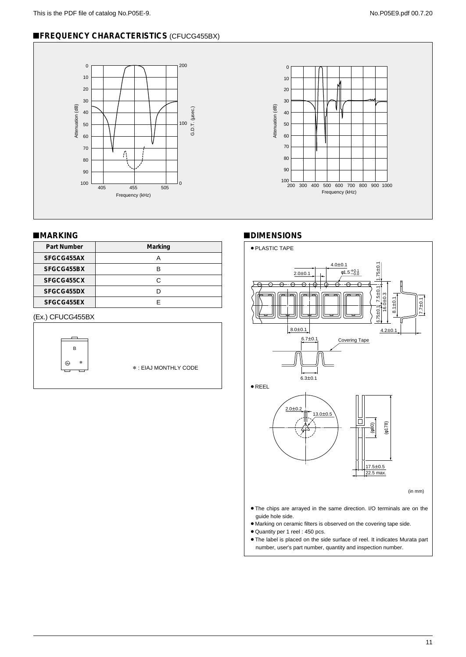# **EFREQUENCY CHARACTERISTICS (CFUCG455BX)**





### !**MARKING**

| <b>Part Number</b> | Marking |
|--------------------|---------|
| SFGCG455AX         | А       |
| SFGCG455BX         | в       |
| SFGCG455CX         | C       |
| SFGCG455DX         |         |
| SFGCG455EX         |         |

# (Ex.) CFUCG455BX



# !**DIMENSIONS**



¡The label is placed on the side surface of reel. It indicates Murata part number, user's part number, quantity and inspection number.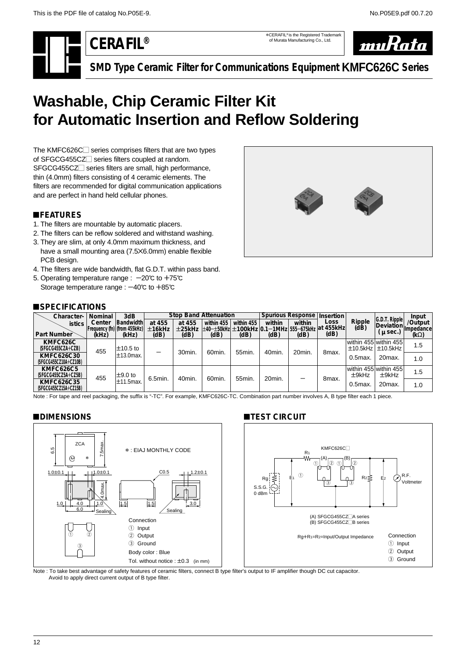\*CERAFIL® is the Registered Trademark of Murata Manufacturing Co., Ltd.



**SMD Type Ceramic Filter for Communications Equipment KMFC626C Series**

# <span id="page-13-0"></span>**Washable, Chip Ceramic Filter Kit for Automatic Insertion and Reflow Soldering**

The KMFC626C $\Box$  series comprises filters that are two types of SFGCG455CZ<sup>-</sup> series filters coupled at random. SFGCG455CZ<sup>1</sup> series filters are small, high performance, thin (4.0mm) filters consisting of 4 ceramic elements. The filters are recommended for digital communication applications and are perfect in hand held cellular phones.

# !**FEATURES**

- 1. The filters are mountable by automatic placers.
- 2. The filters can be reflow soldered and withstand washing.
- 3. They are slim, at only 4.0mm maximum thickness, and have a small mounting area (7.5X6.0mm) enable flexible PCB design.
- 4. The filters are wide bandwidth, flat G.D.T. within pass band.
- 5. Operating temperature range :  $-20^{\circ}$ C to +75 $^{\circ}$ C Storage temperature range :  $-40^{\circ}$ C to  $+85^{\circ}$ C



# !**SPECIFICATIONS**

| Character-                                 | Nominal                                | 3dB              |                  |                  | <b>Stop Band Attenuation</b>                                   |            | Spurious Response   Insertion |        |       |                |                                                      | Input                       |
|--------------------------------------------|----------------------------------------|------------------|------------------|------------------|----------------------------------------------------------------|------------|-------------------------------|--------|-------|----------------|------------------------------------------------------|-----------------------------|
| <i>istics</i>                              | Center<br>Frequency (fn) (from 455kHz) | <b>Bandwidth</b> | at 455<br>±16kHz | at 455<br>±25kHz | within 455<br>±40-±50kHz ±100kHz 0.1-1MHz 555-675kHz at 455kHz | within 455 | within                        | within | Loss  | Ripple<br>(dB) | $ G.D.T.$ Ripple<br>Deviation                        | /Output<br><b>Impedance</b> |
| Part Number                                | (kHz)                                  | (kHz)            | (dB)             | (dB)             | (dB)                                                           | (dB)       | (dB)                          | (dB)   | (dB)  |                | $\mu$ sec.)                                          | $(k\Omega)$                 |
| KMFC626C<br>(SFGCG455CZA+CZB)              | 455                                    | $\pm$ 10.5 to    |                  | 30min.           | 60min.                                                         | 55min.     | 40min.                        | 20min. |       |                | within 455 within 455<br>$\pm$ 10.5kHz $\pm$ 10.5kHz | 1.5                         |
| <b>KMFC626C30</b><br>(SFGCG455CZ10A+CZ10B) |                                        | $±13.0$ max.     |                  |                  |                                                                |            |                               |        | 8max. | $0.5$ max.     | 20max.                                               | 1.0                         |
| <b>KMFC626C5</b><br>(SFGCG455CZ5A+CZ5B)    | 455                                    | $\pm$ 9.0 to     | 6.5min.          | 40min.           | 60min.                                                         | 55min.     | 20min.                        | –      | 8max. | $±9$ kHz       | within 455 within 455<br>$±9$ kHz                    | 1.5                         |
| <b>KMFC626C35</b><br>(SFGCG455CZ15A+CZ15B) |                                        | $±11.5$ max.     |                  |                  |                                                                |            |                               |        |       | $0.5$ max.     | 20max.                                               | 1.0                         |

Note : For tape and reel packaging, the suffix is "-TC". For example, KMFC626C-TC. Combination part number involves A, B type filter each 1 piece.

### !**DIMENSIONS**



# **TEST CIRCUIT**



Note : To take best advantage of safety features of ceramic filters, connect B type filter's output to IF amplifier though DC cut capacitor. Avoid to apply direct current output of B type filter.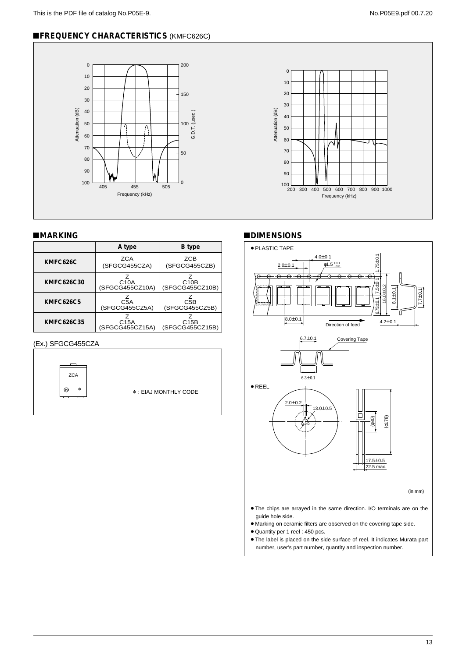# !**FREQUENCY CHARACTERISTICS** (KMFC626C)





#### !**MARKING**

|                  | A type                               | <b>B</b> type                        |
|------------------|--------------------------------------|--------------------------------------|
|                  |                                      |                                      |
| KMFC626C         | ZCA<br>(SFGCG455CZA)                 | ZCB<br>(SFGCG455CZB)                 |
| KMFC626C30       | C <sub>10</sub> A<br>(SFGCG455CZ10A) | C <sub>10</sub> B<br>(SFGCG455CZ10B) |
| <b>KMFC626C5</b> | C <sub>5</sub> A<br>(SFGCG455CZ5A)   | C5B<br>(SFGCG455CZ5B)                |
| KMFC626C35       | C <sub>15</sub> A<br>(SFGCG455CZ15A) | C15B<br>(SFGCG455CZ15B)              |

#### (Ex.) SFGCG455CZA



\* : EIAJ MONTHLY CODE

### !**DIMENSIONS**



- ¡Quantity per 1 reel : 450 pcs.
- $\bullet$  The label is placed on the side surface of reel. It indicates Murata part number, user's part number, quantity and inspection number.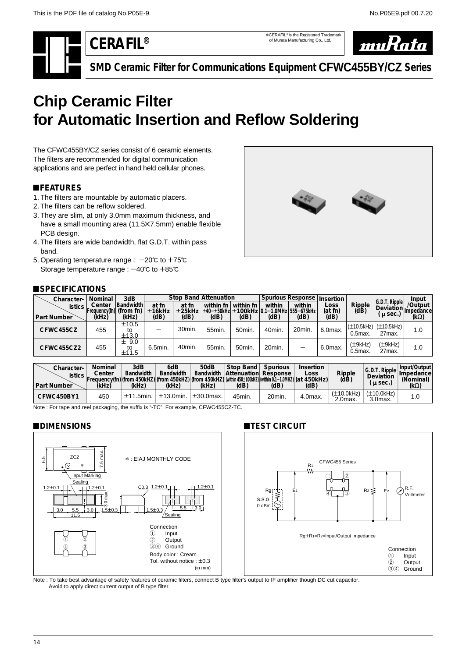\*CERAFIL® is the Registered Trademark of Murata Manufacturing Co., Ltd.



<span id="page-15-0"></span>

**SMD Ceramic Filter for Communications Equipment CFWC455BY/CZ Series**

# **Chip Ceramic Filter for Automatic Insertion and Reflow Soldering**

The CFWC455BY/CZ series consist of 6 ceramic elements. The filters are recommended for digital communication applications and are perfect in hand held cellular phones.

# !**FEATURES**

- 1. The filters are mountable by automatic placers.
- 2. The filters can be reflow soldered.
- 3. They are slim, at only 3.0mm maximum thickness, and have a small mounting area (11.5X7.5mm) enable flexible PCB design.
- 4. The filters are wide bandwidth, flat G.D.T. within pass band.
- 5. Operating temperature range :  $-20^{\circ}$  to +75 $^{\circ}$ C Storage temperature range :  $-40^{\circ}$ C to  $+85^{\circ}$ C

# !**SPECIFICATIONS**

| ____________  |         |                          |         |        |                                          |                   |                             |        |            |                                  |                              |             |
|---------------|---------|--------------------------|---------|--------|------------------------------------------|-------------------|-----------------------------|--------|------------|----------------------------------|------------------------------|-------------|
| Character-    | Nominal | 3dB                      |         |        | <b>Stop Band Attenuation</b>             |                   | Spurious Response Insertion |        |            |                                  |                              | Input       |
| <b>istics</b> | Center  | Bandwidth                | at fn   | at fn  | within fn                                | within fn         | within                      | within | Loss       | Ripple<br>(dB)                   | G.D.T. Ripple <br>Deviation. | /Output     |
|               |         | 'Frequency(fn) (from fn) | ±16kHz  | ±25kHz | ±40-±50kHz ±100kHz 0.1-1.0MHz 555-675kHz |                   |                             |        | (at fn)    |                                  | $\mu$ sec.)                  | 'Ilmpedance |
| Part Number   | (kHz)   | (kHz)                    | (dB)    | (dB)   | (dB)                                     | (dB)              | (dB)                        | (dB)   | (dB)       |                                  |                              | $(k\Omega)$ |
| CFWC455CZ     | 455     | ±10.5<br>to<br>±13.0     |         | 30min. | 55 <sub>min</sub>                        | 50 <sub>min</sub> | 40min.                      | 20min. | $6.0$ max. | $(\pm 10.5$ kHz $)$<br>$0.5$ max | $(\pm 10.5$ kHz)<br>27max.   | 1.0         |
| CFWC455CZ2    | 455     | ± 9.0<br>to<br>±11.5     | 6.5min. | 40min. | 55 <sub>min</sub>                        | 50 <sub>min</sub> | 20min.                      | -      | 6.0max.    | (±9kHz)<br>$0.5$ max             | $(\pm 9kHz)$<br>27max.       | 1.0         |

| Character-<br><i>istics</i><br>Part Number | Nominal<br>Center<br>$[Freauencv(fn)]$ (from 450kHZ) $ (from 450kHz) (from 450kHz)]$ (from 450kHZ) $ (within 0.1-1.0MHz) (at$<br>(kHz) | 3dB<br><b>Bandwidth</b><br>(kHz) | 6dB<br><b>Bandwidth</b><br>(kHz) | 50dB<br><b>Bandwidth</b><br>(kHz) | Stop Band<br><b>Attenuation Response</b><br>(dB) | Spurious<br>(dB) | Insertion<br>LOSS<br>450kHz)<br>(dB) | Ripple<br>(dB)                | G.D.<br>T Ripple<br>Deviation<br>$\mu$ sec.) | Input/Output<br><b>Impedance</b><br>(Nominal)<br>(k $\Omega$ ) |
|--------------------------------------------|----------------------------------------------------------------------------------------------------------------------------------------|----------------------------------|----------------------------------|-----------------------------------|--------------------------------------------------|------------------|--------------------------------------|-------------------------------|----------------------------------------------|----------------------------------------------------------------|
| CFWC450BY1                                 | 450                                                                                                                                    | $±11.5$ min.                     | $\pm$ 13.0min.                   | $\pm 30.0$ max.                   | 45min.                                           | 20min.           | 4.0max.                              | $(\pm 10.0$ kHz<br>$2.0max$ . | $(\pm 10.0$ kHz $)$<br>$3.0max$ .            | 1.0                                                            |

**TEST CIRCUIT** 

Note : For tape and reel packaging, the suffix is "-TC". For example, CFWC455CZ-TC.

# !**DIMENSIONS**





Rg+R<sub>1</sub>=R<sub>2</sub>=Input/Output Impedance

1 Input<br>2 Outpu 2 Output<br>34 Ground Ground

Note : To take best advantage of safety features of ceramic filters, connect B type filter's output to IF amplifier though DC cut capacitor. Avoid to apply direct current output of B type filter.

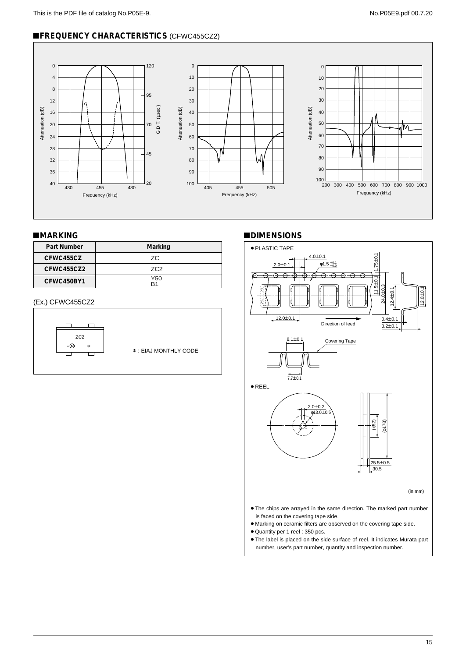# **EFREQUENCY CHARACTERISTICS (CFWC455CZ2)**



# !**MARKING**

| <b>Part Number</b> | Marking    |
|--------------------|------------|
| CFWC455CZ          | 7C         |
| CFWC455CZ2         | <b>7C2</b> |
| CFWC450BY1         | Y50<br>R1  |

#### (Ex.) CFWC455CZ2



#### !**DIMENSIONS**



¡The label is placed on the side surface of reel. It indicates Murata part number, user's part number, quantity and inspection number.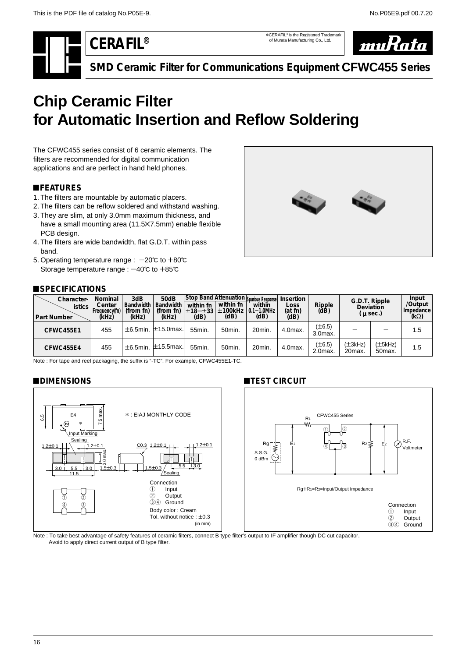\*CERAFIL® is the Registered Trademark of Murata Manufacturing Co., Ltd.



**SMD Ceramic Filter for Communications Equipment CFWC455 Series**

# <span id="page-17-0"></span>**Chip Ceramic Filter for Automatic Insertion and Reflow Soldering**

The CFWC455 series consist of 6 ceramic elements. The filters are recommended for digital communication applications and are perfect in hand held phones.

# !**FEATURES**

- 1. The filters are mountable by automatic placers.
- 2. The filters can be reflow soldered and withstand washing.
- 3. They are slim, at only 3.0mm maximum thickness, and have a small mounting area (11.5X7.5mm) enable flexible PCB design.
- 4. The filters are wide bandwidth, flat G.D.T. within pass band.
- 5. Operating temperature range :  $-20^{\circ}$  to  $+80^{\circ}$ Storage temperature range :  $-40^{\circ}$ C to  $+85^{\circ}$ C

# **SPECIFICATIONS**



| Character-<br><b>istics</b><br>Part Number | Nominal<br>Center<br>Frequency(fn)<br>(kHz) | 3dB<br><b>Bandwidth</b><br>(from fn)<br>(kHz) | <b>50dB</b><br><b>Bandwidth</b><br>(from fn)<br>(kHz) | within fn<br>(dB) | within fn<br>(dB) | Stop Band Attenuation Spurious Response<br>within<br>「±18—±33 ±100kHz   0.1—1.0MHz  <br>(dB) | Insertion<br>Loss<br>(at fn)<br>(dB) | Ripple<br>(dB)            | Deviation        | G.D.T. Ripple<br>$\mu$ sec.)   | Input<br>/Output<br>I Impedance<br>$(k\Omega)$ |
|--------------------------------------------|---------------------------------------------|-----------------------------------------------|-------------------------------------------------------|-------------------|-------------------|----------------------------------------------------------------------------------------------|--------------------------------------|---------------------------|------------------|--------------------------------|------------------------------------------------|
| CFWC455E1                                  | 455                                         |                                               | ±6.5min. ±15.0max.                                    | 55min.            | 50 <sub>min</sub> | 20min.                                                                                       | 4.0max.                              | $(\pm 6.5)$<br>$3.0max$ . |                  |                                | 1.5                                            |
| CFWC455E4                                  | 455                                         |                                               | $\pm$ 6.5min, $\pm$ 15.5max.                          | 55min.            | 50 <sub>min</sub> | 20min.                                                                                       | 4.0max.                              | $(\pm 6.5)$<br>2.0max.    | (±3kHz)<br>20max | (±5kHz)<br>50 <sub>max</sub> . | 1.5                                            |

Note : For tape and reel packaging, the suffix is "-TC". For example, CFWC455E1-TC.

### !**DIMENSIONS**



# **INTEST CIRCUIT**



Note : To take best advantage of safety features of ceramic filters, connect B type filter's output to IF amplifier though DC cut capacitor. Avoid to apply direct current output of B type filter.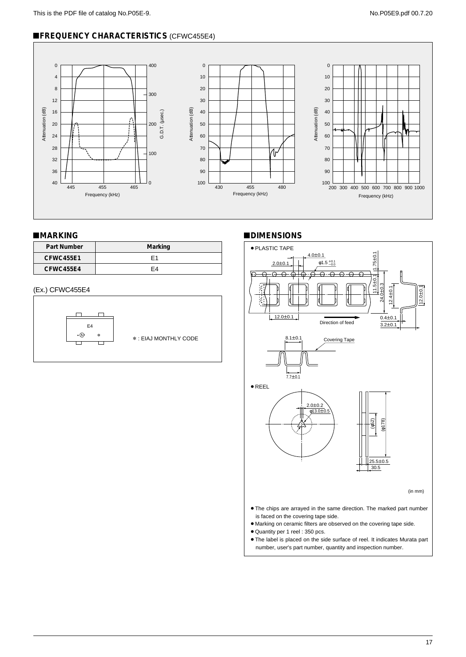# !**FREQUENCY CHARACTERISTICS** (CFWC455E4)



# !**MARKING**

| Part Number      | Marking |
|------------------|---------|
| <b>CFWC455E1</b> | F1      |
| CFWC455E4        | F4      |

#### (Ex.) CFWC455E4



#### !**DIMENSIONS**



number, user's part number, quantity and inspection number.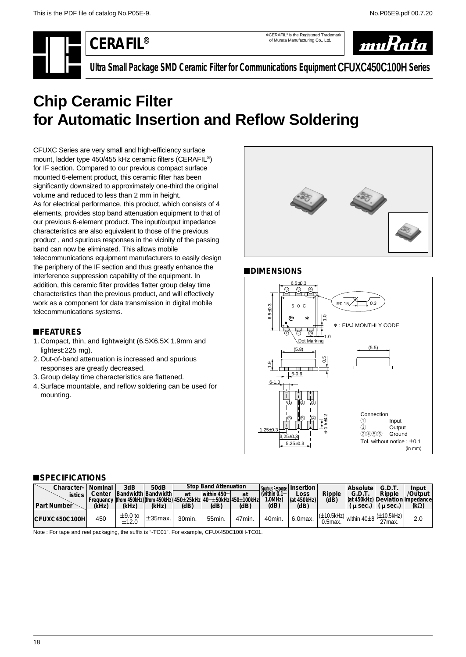\*CERAFIL® is the Registered Trademark of Murata Manufacturing Co., Ltd.



**Ultra Small Package SMD Ceramic Filter for Communications Equipment CFUXC450C100H Series**

# <span id="page-19-0"></span>**Chip Ceramic Filter for Automatic Insertion and Reflow Soldering**

CFUXC Series are very small and high-efficiency surface mount, ladder type 450/455 kHz ceramic filters (CERAFIL®) for IF section. Compared to our previous compact surface mounted 6-element product, this ceramic filter has been significantly downsized to approximately one-third the original volume and reduced to less than 2 mm in height. As for electrical performance, this product, which consists of 4 elements, provides stop band attenuation equipment to that of our previous 6-element product. The input/output impedance characteristics are also equivalent to those of the previous product , and spurious responses in the vicinity of the passing band can now be eliminated. This allows mobile telecommunications equipment manufacturers to easily design the periphery of the IF section and thus greatly enhance the interference suppression capability of the equipment. In addition, this ceramic filter provides flatter group delay time characteristics than the previous product, and will effectively work as a component for data transmission in digital mobile telecommunications systems.

### !**FEATURES**

- 1. Compact, thin, and lightweight (6.5X6.5X 1.9mm and lightest:225 mg).
- 2. Out-of-band attenuation is increased and spurious responses are greatly decreased.
- 3. Group delay time characteristics are flattened.
- 4. Surface mountable, and reflow soldering can be used for mounting.



# !**DIMENSIONS**



#### !**SPECIFICATIONS**

| Character-<br><b>istics</b><br>Part Number | Nominal<br>Center<br>(kHz) | 3dB<br>Bandwidth Bandwidth<br>Frequency (from 450kHz)(from 450kHz) 450±25kHz 40-±50kHz 450±100kHz<br>(kHz) | 50dB<br>(kHz) | at<br>(dB) | <b>Stop Band Attenuation</b><br>within $450 \pm 1$<br>(dB) | at<br>(dB) | Spurious Response   Insertion  <br>(within $0.1-$<br>1.0MHz)<br>(dB) | Loss<br>(at 450kHz)<br>(dB) | Ripple<br>(dB)                    | Absolute<br>G.D.T.<br>(at 450kHz) Deviation Impedance<br>u sec. | G.D.T<br>Ripple<br>u sec.) | Input<br>/Output<br>$(k\Omega)$ |
|--------------------------------------------|----------------------------|------------------------------------------------------------------------------------------------------------|---------------|------------|------------------------------------------------------------|------------|----------------------------------------------------------------------|-----------------------------|-----------------------------------|-----------------------------------------------------------------|----------------------------|---------------------------------|
| CFUXC450C100H                              | 450                        | $\pm$ 9.0 to<br>±12.0                                                                                      | $±35$ max.    | 30min.     | 55min.                                                     | 47min.     | 40min.                                                               | 6.0max.                     | $(\pm 10.5$ kHz $)$<br>$0.5$ max. | within 40±8                                                     | $(\pm 10.5$ kHz)<br>27max. | 2.0                             |

Note : For tape and reel packaging, the suffix is "-TC01". For example, CFUX450C100H-TC01.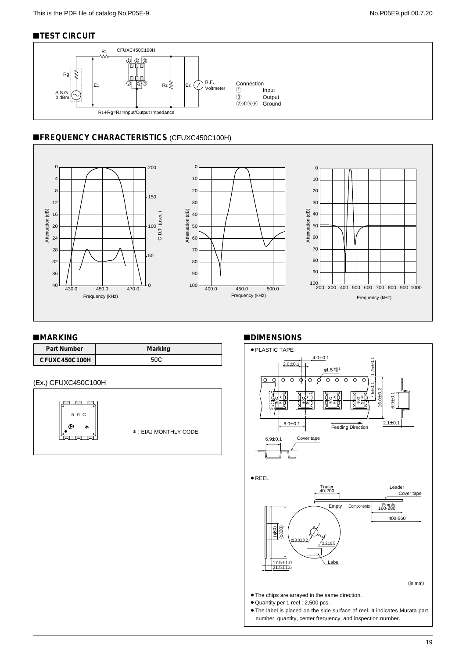# **TEST CIRCUIT**



# **EFREQUENCY CHARACTERISTICS (CFUXC450C100H)**



#### ■**MARKING**

| Part Number   | Marking |
|---------------|---------|
| CFUXC450C100H |         |

#### (Ex.) CFUXC450C100H



### !**DIMENSIONS**

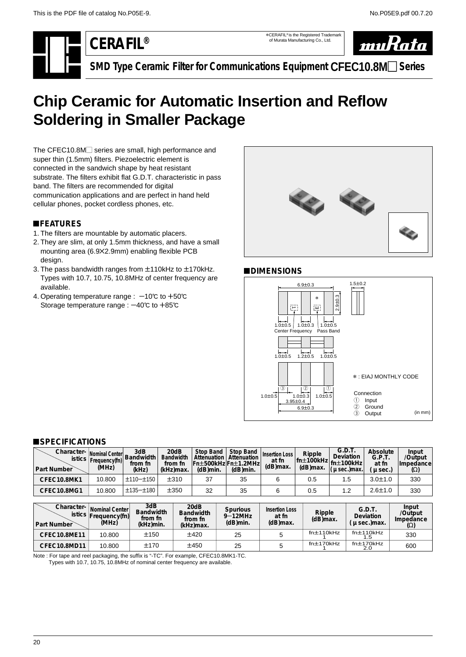\*CERAFIL® is the Registered Trademark of Murata Manufacturing Co., Ltd.



**SMD Type Ceramic Filter for Communications Equipment CFEC10.8M**- **Series**

# <span id="page-21-0"></span>**Chip Ceramic for Automatic Insertion and Reflow Soldering in Smaller Package**

The CFEC10.8M<sub>c</sub> series are small, high performance and super thin (1.5mm) filters. Piezoelectric element is connected in the sandwich shape by heat resistant substrate. The filters exhibit flat G.D.T. characteristic in pass band. The filters are recommended for digital communication applications and are perfect in hand held cellular phones, pocket cordless phones, etc.

# !**FEATURES**

- 1. The filters are mountable by automatic placers.
- 2. They are slim, at only 1.5mm thickness, and have a small mounting area (6.9Z2.9mm) enabling flexible PCB design.
- 3. The pass bandwidth ranges from  $\pm$ 110kHz to  $\pm$ 170kHz. Types with 10.7, 10.75, 10.8MHz of center frequency are available.
- 4. Operating temperature range :  $-10^{\circ}$  to  $+50^{\circ}$ Storage temperature range :  $-40^{\circ}$ c to  $+85^{\circ}$ c



# !**DIMENSIONS**



# ■**SPECIFICATIONS**

| Character- Nominal Center<br>$\vert$ istics $\vert$<br><b>Part Number</b> | Frequency(fn)<br>(MHz)                | 3dB<br>Bandwidth<br>from fn<br>(kHz) | 20dB<br>Bandwidth<br>from fn<br>(kHz)max. | Stop Band<br>Attenuation<br>(dB)min. | Stop Band<br>Attenuation<br>Fn±500kHz Fn±1.2MHz <br>$(dB)$ min. | Insertion Loss<br>at fn<br>(dB)max. | Ripple<br>$ $ fn $\pm$ 100kHz $ $ fn $\pm$ 100kHz<br>$(d)$ max. | G.D.T.<br><b>Deviation</b><br>$\mu$ sec.) max. | Absolute<br>G.P.T.<br>at fn<br>$\mu$ sec.) | Input<br>/Output<br>Impedance<br>$(\Omega)$ |
|---------------------------------------------------------------------------|---------------------------------------|--------------------------------------|-------------------------------------------|--------------------------------------|-----------------------------------------------------------------|-------------------------------------|-----------------------------------------------------------------|------------------------------------------------|--------------------------------------------|---------------------------------------------|
| CFEC10.8MK1                                                               | 10.800                                | $±110-±150$                          | ±310                                      | 37                                   | 35                                                              | 6                                   | 0.5                                                             | 1.5                                            | $3.0 \pm 1.0$                              | 330                                         |
| CFEC10.8MG1                                                               | 10.800                                | $±135 - ±180$                        | ±350                                      | 32                                   | 35                                                              | 6                                   | 0.5                                                             | 1.2                                            | $2.6 \pm 1.0$                              | 330                                         |
|                                                                           |                                       |                                      |                                           |                                      |                                                                 |                                     |                                                                 |                                                |                                            |                                             |
| Character-                                                                | Nominal Center<br>stics Frequency(fn) | 3dB<br><b>Bandwidth</b><br>from fn   |                                           | 20dB<br><b>Bandwidth</b><br>from fn  | <b>Spurious</b><br>$9-12$ MHz                                   | <b>Insertion Loss</b><br>at fn      | Ripple<br>$(HR)$ may                                            |                                                | G.D.T.<br>Deviation                        | Input<br>/Output<br>Impedance               |

| <u>viimuvuu</u><br><b>Part Number</b> | Nominal Center<br>stics Frequency(fn)<br>(MHz) | <b>Bandwidth</b><br>from fn<br>(kHz)min. | - u u<br>Bandwidth<br>from fn<br>(kHz)max. | <b>Spurious</b><br>$9 - 12$ MHz<br>$(d)$ min. | <b>Insertion Loss</b><br>at fn<br>$(d)$ max. | Ripple<br>(dB)max. | G.D.T.<br>Deviation<br>$\mu$ sec.) max. | <br>/Output<br>Impedance<br>$(\Omega)$ |
|---------------------------------------|------------------------------------------------|------------------------------------------|--------------------------------------------|-----------------------------------------------|----------------------------------------------|--------------------|-----------------------------------------|----------------------------------------|
| CFEC10.8ME11                          | 10.800                                         | ±150                                     | ±420                                       | 25                                            |                                              | fn±110kHz          | fn±110kHz                               | 330                                    |
| CFEC10.8MD11                          | 10.800                                         | ±170                                     | ±450                                       | 25                                            |                                              | fn±170kHz          | fn±170kHz                               | 600                                    |

Note : For tape and reel packaging, the suffix is "-TC". For example, CFEC10.8MK1-TC.

Types with 10.7, 10.75, 10.8MHz of nominal center frequency are available.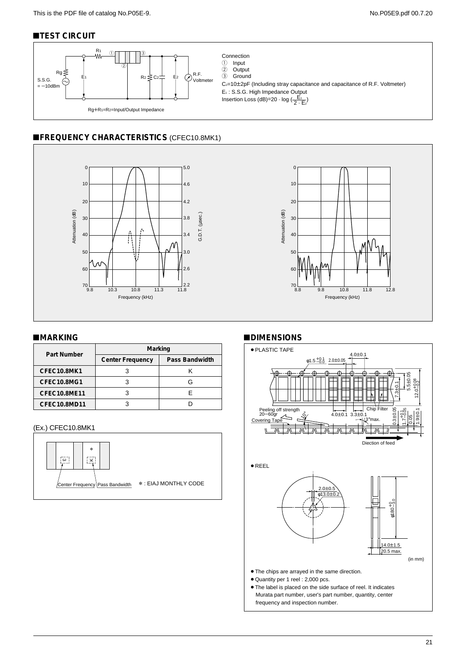# **TEST CIRCUIT**



Connection<br>① Input 1 Input 2 Output<br>3 Ground Ground  $C_{2}=10\pm2pF$  (Including stray capacitance and capacitance of R.F. Voltmeter) E1 : S.S.G. High Impedance Output Insertion Loss (dB)=20 · log  $\left(\frac{\overline{E}_1}{2 \cdot \overline{E}_2}\right)$ 

# **EFREQUENCY CHARACTERISTICS (CFEC10.8MK1)**





#### !**MARKING**

| Part Number  | Marking                 |                |  |  |  |  |  |
|--------------|-------------------------|----------------|--|--|--|--|--|
|              | <b>Center Frequency</b> | Pass Bandwidth |  |  |  |  |  |
| CFEC10.8MK1  |                         |                |  |  |  |  |  |
| CFEC10.8MG1  |                         | G              |  |  |  |  |  |
| CFEC10.8ME11 |                         |                |  |  |  |  |  |
| CFEC10.8MD11 |                         |                |  |  |  |  |  |

# (Ex.) CFEC10.8MK1



#### !**DIMENSIONS**



frequency and inspection number.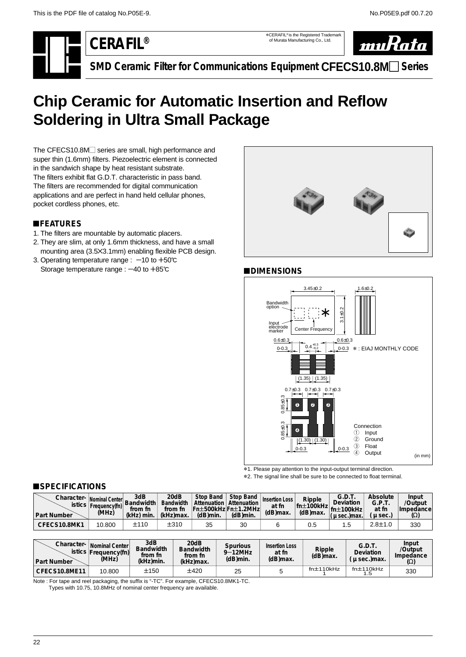\*CERAFIL® is the Registered Trademark of Murata Manufacturing Co., Ltd.



**SMD Ceramic Filter for Communications Equipment CFECS10.8M**- **Series**

# <span id="page-23-0"></span>**Chip Ceramic for Automatic Insertion and Reflow Soldering in Ultra Small Package**

The CFECS10.8M series are small, high performance and super thin (1.6mm) filters. Piezoelectric element is connected in the sandwich shape by heat resistant substrate. The filters exhibit flat G.D.T. characteristic in pass band. The filters are recommended for digital communication applications and are perfect in hand held cellular phones, pocket cordless phones, etc.

# !**FEATURES**

- 1. The filters are mountable by automatic placers.
- 2. They are slim, at only 1.6mm thickness, and have a small mounting area (3.5×3.1mm) enabling flexible PCB design.
- 3. Operating temperature range :  $-10$  to  $+50^{\circ}$ C Storage temperature range :  $-40$  to  $+85^\circ$ C



# !**DIMENSIONS**



\*2. The signal line shall be sure to be connected to float terminal.

### !**SPECIFICATIONS**

| Character- Nominal Center Bandwidth Rond<br><b>Part Number</b> | istics   Frequency(fn)  <br>(MHz) | from fn<br>(kHz) min. | 20dB<br><b>Bandwidth</b><br>from fn<br>(kHz)max. | Stop Band<br>Attenuation I<br> Fn±500kHz Fn±1.2MHz <br>(dB)min. | <b>Stop Band</b><br>Attenuation<br>(dB)min. | <b>Insertion Loss</b><br>at fn<br>(dB)max. | Ripple<br>$\cdot$ m   fn±100kHz  fn±100kHz  a<br>(dB)max. | G.D.T.<br><b>Deviation</b><br>u sec.)max. | Absolute<br>G.P.T.<br>at fn<br>$\mu$ sec. | Input<br>/Output<br><b>Impedancel</b><br>(Ω) |
|----------------------------------------------------------------|-----------------------------------|-----------------------|--------------------------------------------------|-----------------------------------------------------------------|---------------------------------------------|--------------------------------------------|-----------------------------------------------------------|-------------------------------------------|-------------------------------------------|----------------------------------------------|
| CFECS10.8MK1                                                   | 10.800                            | ±110                  | ±310                                             | 35                                                              | 30                                          |                                            | 0.5                                                       | $\cdot$                                   | $2.8 \pm 1.0$                             | 330                                          |

| Character-<br><b>Part Number</b> | Nominal Center<br>istics Frequency(fn)<br>(MHz) | 3dB<br><b>Bandwidth</b><br>from fn<br>(kHz)min. | 20dB<br><b>Bandwidth</b><br>from fn<br>(kHz)max. | <b>Spurious</b><br>$9 - 12$ MHz<br>(dB)min. | Insertion Loss<br>at fn<br>(dB)max. | Ripple<br>$(d)$ max. | G.D.T.<br>Deviation<br>$\mu$ sec.) max. | Input<br>/Output<br>Impedance<br>Ω) |
|----------------------------------|-------------------------------------------------|-------------------------------------------------|--------------------------------------------------|---------------------------------------------|-------------------------------------|----------------------|-----------------------------------------|-------------------------------------|
| CFECS10.8ME11                    | 10.800                                          | ±150                                            | ±420                                             | 25                                          |                                     | fn±110kHz            | fn±110kHz                               | 330                                 |

Note : For tape and reel packaging, the suffix is "-TC". For example, CFECS10.8MK1-TC.

Types with 10.75, 10.8MHz of nominal center frequency are available.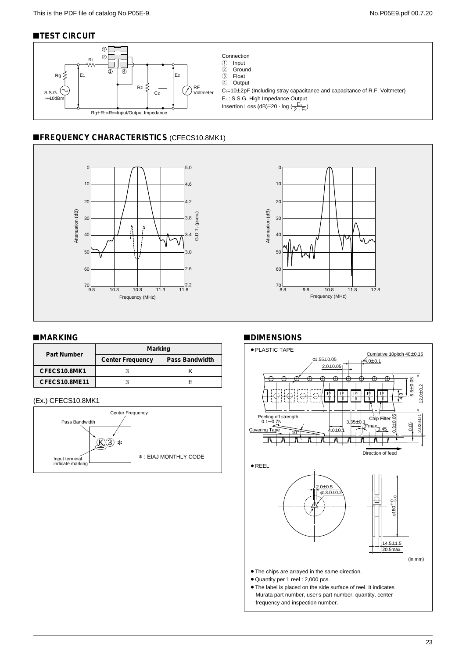# **TEST CIRCUIT**



# **EFREQUENCY CHARACTERISTICS (CFECS10.8MK1)**





#### !**MARKING**

| Part Number   | Marking                 |                |  |  |  |  |  |
|---------------|-------------------------|----------------|--|--|--|--|--|
|               | <b>Center Frequency</b> | Pass Bandwidth |  |  |  |  |  |
| CFECS10.8MK1  |                         |                |  |  |  |  |  |
| CFECS10.8ME11 |                         |                |  |  |  |  |  |

#### (Ex.) CFECS10.8MK1



#### !**DIMENSIONS**

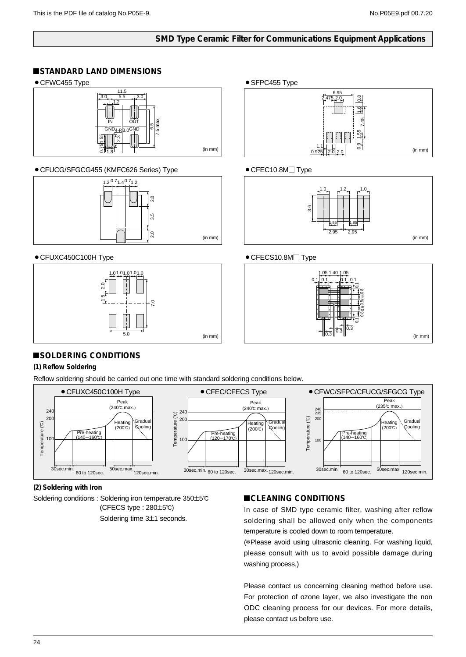# **SMD Type Ceramic Filter for Communications Equipment Applications**

### <span id="page-25-0"></span>!**STANDARD LAND DIMENSIONS**

• CFWC455 Type



### ¡CFUCG/SFGCG455 (KMFC626 Series) Type



### • CFUXC450C100H Type



● SFPC455 Type



# $\bullet$  CFEC10.8M $\Box$  Type



# ● CFECS10.8M<sub>Type</sub>



# !**SOLDERING CONDITIONS**

### **(1) Reflow Soldering**

Reflow soldering should be carried out one time with standard soldering conditions below.



**(2) Soldering with Iron**

Soldering conditions : Soldering iron temperature 350±5℃  $(CFECS type : 280±5°C)$ 

# $ICLEANING CONDITIONS$

In case of SMD type ceramic filter, washing after reflow soldering shall be allowed only when the components temperature is cooled down to room temperature.

(\*Please avoid using ultrasonic cleaning. For washing liquid, please consult with us to avoid possible damage during washing process.)

Please contact us concerning cleaning method before use. For protection of ozone layer, we also investigate the non ODC cleaning process for our devices. For more details, please contact us before use.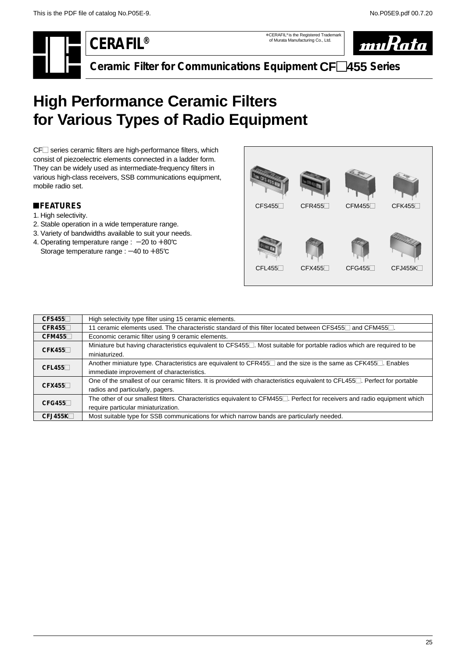\*CERAFIL® is the Registered Trademark of Murata Manufacturing Co., Ltd.



**Ceramic Filter for Communications Equipment CF**-**455 Series**

# <span id="page-26-0"></span>**High Performance Ceramic Filters for Various Types of Radio Equipment**

CF<sup>-</sup> series ceramic filters are high-performance filters, which consist of piezoelectric elements connected in a ladder form. They can be widely used as intermediate-frequency filters in various high-class receivers, SSB communications equipment, mobile radio set.

# !**FEATURES**

- 1. High selectivity.
- 2. Stable operation in a wide temperature range.
- 3. Variety of bandwidths available to suit your needs.
- 4. Operating temperature range :  $-20$  to  $+80^{\circ}$ C Storage temperature range :  $-40$  to  $+85^\circ$ C



| CFS455  | High selectivity type filter using 15 ceramic elements.                                                                                |
|---------|----------------------------------------------------------------------------------------------------------------------------------------|
| CFR455  | 11 ceramic elements used. The characteristic standard of this filter located between CFS455 and CFM455 .                               |
| CFM455  | Economic ceramic filter using 9 ceramic elements.                                                                                      |
| CFK455  | Miniature but having characteristics equivalent to CFS455. Most suitable for portable radios which are required to be                  |
|         | miniaturized.                                                                                                                          |
| CFL455  | Another miniature type. Characteristics are equivalent to CFR455□ and the size is the same as CFK455□. Enables                         |
|         | immediate improvement of characteristics.                                                                                              |
| CFX455  | One of the smallest of our ceramic filters. It is provided with characteristics equivalent to CFL455. Perfect for portable             |
|         | radios and particularly, pagers.                                                                                                       |
| CFG455  | The other of our smallest filters. Characteristics equivalent to CFM455 <sup>1</sup> . Perfect for receivers and radio equipment which |
|         | require particular miniaturization.                                                                                                    |
| CFJ455K | Most suitable type for SSB communications for which narrow bands are particularly needed.                                              |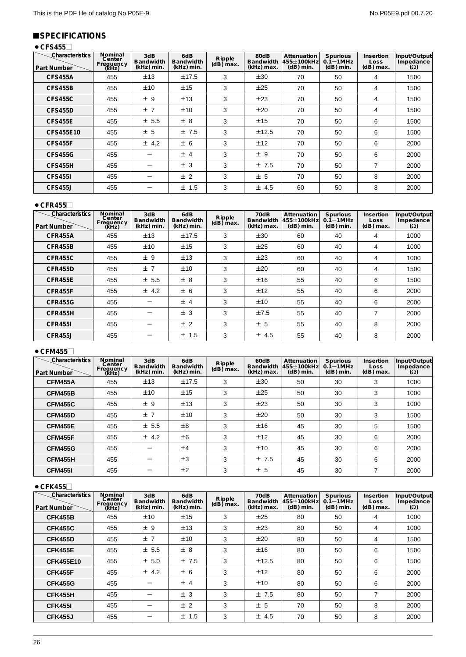# !**SPECIFICATIONS**

# ● CFS455

| Characteristics<br><b>Part Number</b> | Nominal<br>Center<br>Frequency<br>(kHz) | 3dB<br><b>Bandwidth</b><br>(kHz) min. | 6dB<br><b>Bandwidth</b><br>(kHz) min. | Ripple<br>$(dB)$ max. | 80dB<br><b>Bandwidth</b><br>(kHz) max. | Attenuation<br>455±100kHz<br>$(dB)$ min. | Spurious<br>$0.1 - 1$ MHz<br>$(dB)$ min. | Insertion<br>Loss<br>$(dB)$ max. | Input/Output<br>Impedance<br>$(\Omega)$ |
|---------------------------------------|-----------------------------------------|---------------------------------------|---------------------------------------|-----------------------|----------------------------------------|------------------------------------------|------------------------------------------|----------------------------------|-----------------------------------------|
| <b>CFS455A</b>                        | 455                                     | ±13                                   | ±17.5                                 | 3                     | ±30                                    | 70                                       | 50                                       | 4                                | 1500                                    |
| <b>CFS455B</b>                        | 455                                     | ±10                                   | ±15                                   | 3                     | ±25                                    | 70                                       | 50                                       | 4                                | 1500                                    |
| <b>CFS455C</b>                        | 455                                     | ±9                                    | ±13                                   | 3                     | ±23                                    | 70                                       | 50                                       | 4                                | 1500                                    |
| CFS455D                               | 455                                     | ±7                                    | ±10                                   | 3                     | ±20                                    | 70                                       | 50                                       | 4                                | 1500                                    |
| <b>CFS455E</b>                        | 455                                     | ± 5.5                                 | ± 8                                   | 3                     | ±15                                    | 70                                       | 50                                       | 6                                | 1500                                    |
| CFS455E10                             | 455                                     | ± 5                                   | ±7.5                                  | 3                     | ±12.5                                  | 70                                       | 50                                       | 6                                | 1500                                    |
| <b>CFS455F</b>                        | 455                                     | ± 4.2                                 | ± 6                                   | 3                     | ±12                                    | 70                                       | 50                                       | 6                                | 2000                                    |
| <b>CFS455G</b>                        | 455                                     |                                       | ±4                                    | 3                     | ±9                                     | 70                                       | 50                                       | 6                                | 2000                                    |
| CFS455H                               | 455                                     |                                       | ± 3                                   | 3                     | ±7.5                                   | 70                                       | 50                                       | 7                                | 2000                                    |
| <b>CFS4551</b>                        | 455                                     |                                       | ± 2                                   | 3                     | ± 5                                    | 70                                       | 50                                       | 8                                | 2000                                    |
| <b>CFS455J</b>                        | 455                                     |                                       | ± 1.5                                 | 3                     | ± 4.5                                  | 60                                       | 50                                       | 8                                | 2000                                    |

### $\bullet$  CFR455 $\Box$

| Characteristics<br><b>Part Number</b> | Nominal<br>Center<br>Frequency<br>(kHz) | 3dB<br><b>Bandwidth</b><br>(kHz) min. | 6dB<br><b>Bandwidth</b><br>(kHz) min. | Ripple<br>$(dB)$ max. | 70dB<br><b>Bandwidth</b><br>(kHz) max. | Attenuation<br>455±100kHz<br>$(dB)$ min. | <b>Spurious</b><br>$0.1 - 1$ MHz<br>$(dB)$ min. | Insertion<br>Loss<br>$(dB)$ max. | Input/Output<br>Impedance<br>$(\Omega)$ |
|---------------------------------------|-----------------------------------------|---------------------------------------|---------------------------------------|-----------------------|----------------------------------------|------------------------------------------|-------------------------------------------------|----------------------------------|-----------------------------------------|
| <b>CFR455A</b>                        | 455                                     | ±13                                   | ±17.5                                 | 3                     | ±30                                    | 60                                       | 40                                              | 4                                | 1000                                    |
| CFR455B                               | 455                                     | ±10                                   | ±15                                   | 3                     | ±25                                    | 60                                       | 40                                              | 4                                | 1000                                    |
| CFR455C                               | 455                                     | ±9                                    | ±13                                   | 3                     | ±23                                    | 60                                       | 40                                              | 4                                | 1000                                    |
| CFR455D                               | 455                                     | ±7                                    | ±10                                   | 3                     | ±20                                    | 60                                       | 40                                              | 4                                | 1500                                    |
| <b>CFR455E</b>                        | 455                                     | ± 5.5                                 | ± 8                                   | 3                     | ±16                                    | 55                                       | 40                                              | 6                                | 1500                                    |
| CFR455F                               | 455                                     | ± 4.2                                 | ± 6                                   | 3                     | ±12                                    | 55                                       | 40                                              | 6                                | 2000                                    |
| <b>CFR455G</b>                        | 455                                     |                                       | ±4                                    | 3                     | ±10                                    | 55                                       | 40                                              | 6                                | 2000                                    |
| CFR455H                               | 455                                     |                                       | ± 3                                   | 3                     | ±7.5                                   | 55                                       | 40                                              | 7                                | 2000                                    |
| <b>CFR4551</b>                        | 455                                     |                                       | ± 2                                   | 3                     | ± 5                                    | 55                                       | 40                                              | 8                                | 2000                                    |
| CFR455J                               | 455                                     |                                       | ± 1.5                                 | 3                     | ± 4.5                                  | 55                                       | 40                                              | 8                                | 2000                                    |

# ● CFM455 $□$

| <b>Characteristics</b><br><b>Part Number</b> | Nominal<br>Center<br>Frequency<br>(kHz) | 3dB<br><b>Bandwidth</b><br>(kHz) min. | 6dB<br>Bandwidth<br>(kHz) min. | Ripple<br>$(dB)$ max. | 60dB<br><b>Bandwidth</b><br>(kHz) max. | Attenuation<br>455±100kHz<br>$(dB)$ min. | Spurious<br>$0.1 - 1$ MHz<br>$(dB)$ min. | Insertion<br><b>Loss</b><br>$(dB)$ max. | Input/Output<br>Impedance<br>$(\Omega)$ |
|----------------------------------------------|-----------------------------------------|---------------------------------------|--------------------------------|-----------------------|----------------------------------------|------------------------------------------|------------------------------------------|-----------------------------------------|-----------------------------------------|
| <b>CFM455A</b>                               | 455                                     | ±13                                   | ±17.5                          | 3                     | ±30                                    | 50                                       | 30                                       | 3                                       | 1000                                    |
| <b>CFM455B</b>                               | 455                                     | ±10                                   | ±15                            | 3                     | ±25                                    | 50                                       | 30                                       | 3                                       | 1000                                    |
| <b>CFM455C</b>                               | 455                                     | ±9                                    | ±13                            | 3                     | ±23                                    | 50                                       | 30                                       | 3                                       | 1000                                    |
| <b>CFM455D</b>                               | 455                                     | ±7                                    | ±10                            | 3                     | ±20                                    | 50                                       | 30                                       | 3                                       | 1500                                    |
| <b>CFM455E</b>                               | 455                                     | ± 5.5                                 | $\pm 8$                        | 3                     | ±16                                    | 45                                       | 30                                       | 5                                       | 1500                                    |
| <b>CFM455F</b>                               | 455                                     | ± 4.2                                 | ±6                             | 3                     | ±12                                    | 45                                       | 30                                       | 6                                       | 2000                                    |
| <b>CFM455G</b>                               | 455                                     |                                       | ±4                             | 3                     | ±10                                    | 45                                       | 30                                       | 6                                       | 2000                                    |
| <b>CFM455H</b>                               | 455                                     |                                       | ±3                             | 3                     | ±7.5                                   | 45                                       | 30                                       | 6                                       | 2000                                    |
| <b>CFM4551</b>                               | 455                                     |                                       | ±2                             | 3                     | ± 5                                    | 45                                       | 30                                       |                                         | 2000                                    |

### ● CFK455□

| <b>Characteristics</b><br><b>Part Number</b> | Nominal<br>Center<br>Frequency<br>(kHz) | 3dB<br><b>Bandwidth</b><br>(kHz) min. | 6dB<br><b>Bandwidth</b><br>(kHz) min. | Ripple<br>$(dB)$ max. | 70dB<br><b>Bandwidth</b><br>(kHz) max. | Attenuation<br>455±100kHz<br>$(dB)$ min. | <b>Spurious</b><br>$0.1 - 1$ MHz<br>$(dB)$ min. | Insertion<br>Loss<br>$(dB)$ max. | Input/Output<br>Impedance<br>$(\Omega)$ |
|----------------------------------------------|-----------------------------------------|---------------------------------------|---------------------------------------|-----------------------|----------------------------------------|------------------------------------------|-------------------------------------------------|----------------------------------|-----------------------------------------|
| <b>CFK455B</b>                               | 455                                     | ±10                                   | ±15                                   | 3                     | ±25                                    | 80                                       | 50                                              | 4                                | 1000                                    |
| <b>CFK455C</b>                               | 455                                     | ±9                                    | ±13                                   | 3                     | ±23                                    | 80                                       | 50                                              | 4                                | 1000                                    |
| <b>CFK455D</b>                               | 455                                     | ±7                                    | ±10                                   | 3                     | ±20                                    | 80                                       | 50                                              | 4                                | 1500                                    |
| <b>CFK455E</b>                               | 455                                     | ± 5.5                                 | ± 8                                   | 3                     | ±16                                    | 80                                       | 50                                              | 6                                | 1500                                    |
| <b>CFK455E10</b>                             | 455                                     | ± 5.0                                 | ±7.5                                  | 3                     | ±12.5                                  | 80                                       | 50                                              | 6                                | 1500                                    |
| <b>CFK455F</b>                               | 455                                     | ± 4.2                                 | ± 6                                   | 3                     | ±12                                    | 80                                       | 50                                              | 6                                | 2000                                    |
| <b>CFK455G</b>                               | 455                                     |                                       | ±4                                    | 3                     | ±10                                    | 80                                       | 50                                              | 6                                | 2000                                    |
| <b>CFK455H</b>                               | 455                                     |                                       | ± 3                                   | 3                     | ±7.5                                   | 80                                       | 50                                              | 7                                | 2000                                    |
| <b>CFK455I</b>                               | 455                                     |                                       | ± 2                                   | 3                     | ± 5                                    | 70                                       | 50                                              | 8                                | 2000                                    |
| <b>CFK455J</b>                               | 455                                     |                                       | ± 1.5                                 | 3                     | ± 4.5                                  | 70                                       | 50                                              | 8                                | 2000                                    |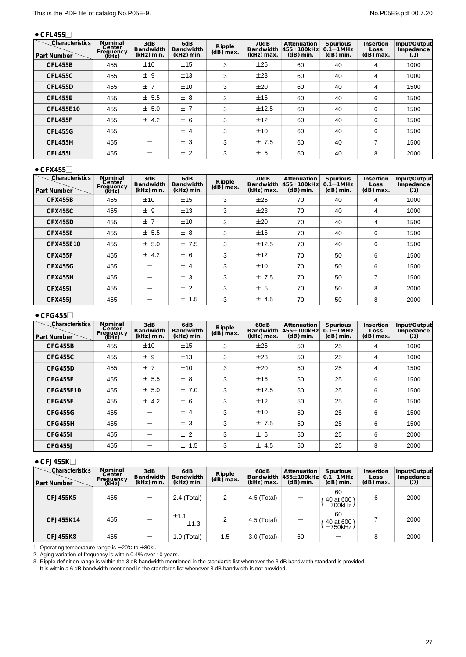# ● CFL455

| Characteristics<br><b>Part Number</b> | Nominal<br>Center<br>Frequency<br>(kHz) | 3dB<br><b>Bandwidth</b><br>(kHz) min. | 6dB<br><b>Bandwidth</b><br>(kHz) min. | Ripple<br>$(dB)$ max. | 70dB<br><b>Bandwidth</b><br>(kHz) max. | Attenuation<br>455±100kHz<br>$(dB)$ min. | <b>Spurious</b><br>$0.1 - 1$ MHz<br>$(dB)$ min. | Insertion<br><b>Loss</b><br>$(dB)$ max. | Input/Output<br>Impedance<br>$(\Omega)$ |
|---------------------------------------|-----------------------------------------|---------------------------------------|---------------------------------------|-----------------------|----------------------------------------|------------------------------------------|-------------------------------------------------|-----------------------------------------|-----------------------------------------|
| <b>CFL455B</b>                        | 455                                     | ±10                                   | ±15                                   | 3                     | ±25                                    | 60                                       | 40                                              | 4                                       | 1000                                    |
| <b>CFL455C</b>                        | 455                                     | ±9                                    | ±13                                   | 3                     | ±23                                    | 60                                       | 40                                              | 4                                       | 1000                                    |
| CFL455D                               | 455                                     | ±7                                    | ±10                                   | 3                     | ±20                                    | 60                                       | 40                                              | 4                                       | 1500                                    |
| <b>CFL455E</b>                        | 455                                     | ± 5.5                                 | ± 8                                   | 3                     | ±16                                    | 60                                       | 40                                              | 6                                       | 1500                                    |
| CFL455E10                             | 455                                     | ± 5.0                                 | ±7                                    | 3                     | ±12.5                                  | 60                                       | 40                                              | 6                                       | 1500                                    |
| <b>CFL455F</b>                        | 455                                     | ± 4.2                                 | ± 6                                   | 3                     | ±12                                    | 60                                       | 40                                              | 6                                       | 1500                                    |
| <b>CFL455G</b>                        | 455                                     |                                       | ± 4                                   | 3                     | ±10                                    | 60                                       | 40                                              | 6                                       | 1500                                    |
| <b>CFL455H</b>                        | 455                                     |                                       | ± 3                                   | 3                     | ±7.5                                   | 60                                       | 40                                              | 7                                       | 1500                                    |
| <b>CFL455I</b>                        | 455                                     |                                       | ±2                                    | 3                     | ± 5                                    | 60                                       | 40                                              | 8                                       | 2000                                    |

#### ● CFX455□

| Characteristics<br><b>Part Number</b> | Nominal<br>Center<br>Freguency<br>(kHz) | 3dB<br><b>Bandwidth</b><br>(kHz) min. | 6dB<br><b>Bandwidth</b><br>(kHz) min. | Ripple<br>$(dB)$ max. | 70dB<br><b>Bandwidth</b><br>(kHz) max. | Attenuation<br>455±100kHz<br>$(dB)$ min. | Spurious<br>$0.1 - 1$ MHz<br>$(dB)$ min. | Insertion<br>Loss<br>$(dB)$ max. | Input/Output<br>Impedance<br>$(\Omega)$ |
|---------------------------------------|-----------------------------------------|---------------------------------------|---------------------------------------|-----------------------|----------------------------------------|------------------------------------------|------------------------------------------|----------------------------------|-----------------------------------------|
| <b>CFX455B</b>                        | 455                                     | ±10                                   | ±15                                   | 3                     | ±25                                    | 70                                       | 40                                       | 4                                | 1000                                    |
| <b>CFX455C</b>                        | 455                                     | ±9                                    | ±13                                   | 3                     | ±23                                    | 70                                       | 40                                       | 4                                | 1000                                    |
| <b>CFX455D</b>                        | 455                                     | ±7                                    | ±10                                   | 3                     | ±20                                    | 70                                       | 40                                       | 4                                | 1500                                    |
| <b>CFX455E</b>                        | 455                                     | ± 5.5                                 | ± 8                                   | 3                     | ±16                                    | 70                                       | 40                                       | 6                                | 1500                                    |
| CFX455E10                             | 455                                     | ± 5.0                                 | ±7.5                                  | 3                     | ±12.5                                  | 70                                       | 40                                       | 6                                | 1500                                    |
| <b>CFX455F</b>                        | 455                                     | ± 4.2                                 | ± 6                                   | 3                     | ±12                                    | 70                                       | 50                                       | 6                                | 1500                                    |
| <b>CFX455G</b>                        | 455                                     |                                       | ±4                                    | 3                     | ±10                                    | 70                                       | 50                                       | 6                                | 1500                                    |
| <b>CFX455H</b>                        | 455                                     |                                       | ± 3                                   | 3                     | ±7.5                                   | 70                                       | 50                                       | 7                                | 1500                                    |
| <b>CFX4551</b>                        | 455                                     |                                       | ± 2                                   | 3                     | ± 5                                    | 70                                       | 50                                       | 8                                | 2000                                    |
| <b>CFX455J</b>                        | 455                                     |                                       | $±$ 1.5                               | 3                     | $±$ 4.5                                | 70                                       | 50                                       | 8                                | 2000                                    |

#### ● CFG455□

| Characteristics<br><b>Part Number</b> | Nominal<br>Center<br>Frequency<br>(kHz) | 3dB<br><b>Bandwidth</b><br>(kHz) min. | 6dB<br><b>Bandwidth</b><br>(kHz) min. | Ripple<br>$(dB)$ max. | 60dB<br><b>Bandwidth</b><br>(kHz) max. | Attenuation<br>455±100kHz<br>$(dB)$ min. | <b>Spurious</b><br>$0.1 - 1$ MHz<br>$(dB)$ min. | Insertion<br>Loss<br>$(dB)$ max. | Input/Output<br>Impedance<br>$(\Omega)$ |
|---------------------------------------|-----------------------------------------|---------------------------------------|---------------------------------------|-----------------------|----------------------------------------|------------------------------------------|-------------------------------------------------|----------------------------------|-----------------------------------------|
| <b>CFG455B</b>                        | 455                                     | ±10                                   | ±15                                   | 3                     | ±25                                    | 50                                       | 25                                              | 4                                | 1000                                    |
| <b>CFG455C</b>                        | 455                                     | ±9                                    | ±13                                   | 3                     | ±23                                    | 50                                       | 25                                              | 4                                | 1000                                    |
| CFG455D                               | 455                                     | ±7                                    | ±10                                   | 3                     | ±20                                    | 50                                       | 25                                              | 4                                | 1500                                    |
| <b>CFG455E</b>                        | 455                                     | ± 5.5                                 | ± 8                                   | 3                     | ±16                                    | 50                                       | 25                                              | 6                                | 1500                                    |
| CFG455E10                             | 455                                     | ± 5.0                                 | ±7.0                                  | 3                     | ±12.5                                  | 50                                       | 25                                              | 6                                | 1500                                    |
| CFG455F                               | 455                                     | ± 4.2                                 | ± 6                                   | 3                     | ±12                                    | 50                                       | 25                                              | 6                                | 1500                                    |
| <b>CFG455G</b>                        | 455                                     |                                       | ±4                                    | 3                     | ±10                                    | 50                                       | 25                                              | 6                                | 1500                                    |
| CFG455H                               | 455                                     |                                       | ± 3                                   | 3                     | ±7.5                                   | 50                                       | 25                                              | 6                                | 1500                                    |
| <b>CFG455I</b>                        | 455                                     |                                       | ± 2                                   | 3                     | ± 5                                    | 50                                       | 25                                              | 6                                | 2000                                    |
| CFG455J                               | 455                                     |                                       | $±$ 1.5                               | 3                     | ± 4.5                                  | 50                                       | 25                                              | 8                                | 2000                                    |

### $\bullet$  CFJ455K $\Box$

| <b>Characteristics</b><br>Part Number | Nominal<br>Center<br>Frequency<br>(KHz) | 3dB<br><b>Bandwidth</b><br>(kHz) min. | 6dB<br><b>Bandwidth</b><br>(kHz) min. | Ripple<br>$(dB)$ max. | 60dB<br><b>Bandwidth</b><br>(kHz) max. | Attenuation<br>455±100kHzL<br>$(dB)$ min. | <b>Spurious</b><br>$0.1 - 1$ MHz<br>$(dB)$ min. | Insertion<br>Loss<br>$(dB)$ max. | Input/Output<br>Impedance<br>$(\Omega)$ |
|---------------------------------------|-----------------------------------------|---------------------------------------|---------------------------------------|-----------------------|----------------------------------------|-------------------------------------------|-------------------------------------------------|----------------------------------|-----------------------------------------|
| CFJ455K5                              | 455                                     |                                       | $2.4$ (Total)                         | 2                     | 4.5 (Total)                            |                                           | 60<br>40 at 600 \<br>$-700$ kHz $/$             | 6                                | 2000                                    |
| CFJ455K14                             | 455                                     |                                       | $±1.1-$<br>±1.3                       | 2                     | 4.5 (Total)                            |                                           | 60<br>40 at 600 \<br>$-750$ kHz                 |                                  | 2000                                    |
| <b>CFJ455K8</b>                       | 455                                     |                                       | I.0 (Total)                           | 1.5                   | 3.0 (Total)                            | 60                                        |                                                 | 8                                | 2000                                    |

1. Operating temperature range is  $-20^{\circ}$  to  $+80^{\circ}$ .

2. Aging variation of frequency is within 0.4% over 10 years.

3. Ripple definition range is within the 3 dB bandwidth mentioned in the standards list whenever the 3 dB bandwidth standard is provided.

. It is within a 6 dB bandwidth mentioned in the standards list whenever 3 dB bandwidth is not provided.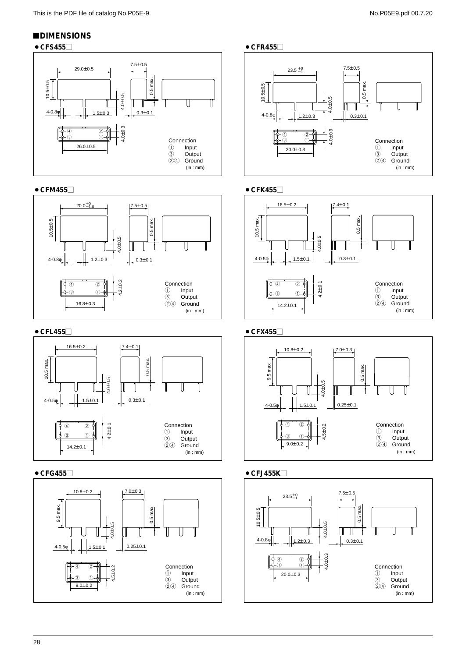# !**DIMENSIONS**





● CFM455□



### ● CFL455



# ● CFG455





### ● CFK455



### ● CFX455



### $\bullet$  CFJ455K $\Box$

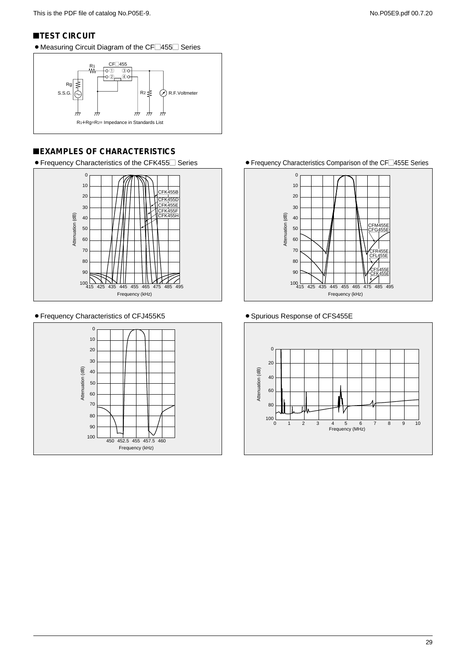### **TEST CIRCUIT**

• Measuring Circuit Diagram of the CF<sup>1455</sub> Series</sup>



# !**EXAMPLES OF CHARACTERISTICS**

 $\bullet$  Frequency Characteristics of the CFK455 $\Box$  Series



#### ¡Frequency Characteristics of CFJ455K5



 $\bullet$  Frequency Characteristics Comparison of the CF $\Box$ 455E Series



• Spurious Response of CFS455E

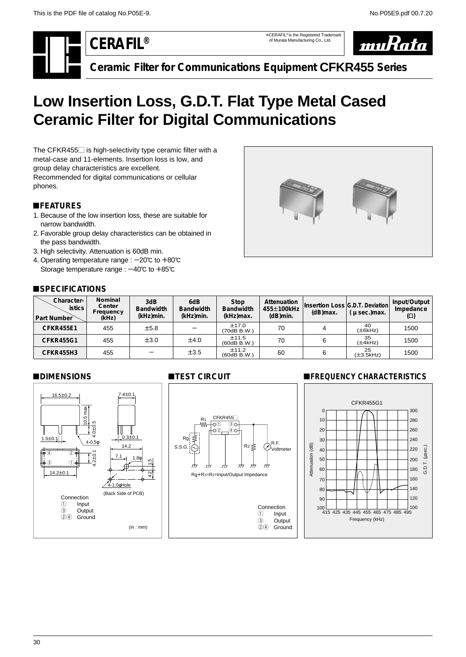\*CERAFIL® is the Registered Trademark of Murata Manufacturing Co., Ltd.



**Ceramic Filter for Communications Equipment CFKR455 Series**

# <span id="page-31-0"></span>**Low Insertion Loss, G.D.T. Flat Type Metal Cased Ceramic Filter for Digital Communications**

The CFKR455 $\Box$  is high-selectivity type ceramic filter with a metal-case and 11-elements. Insertion loss is low, and group delay characteristics are excellent. Recommended for digital communications or cellular phones.

# !**FEATURES**

- 1. Because of the low insertion loss, these are suitable for narrow bandwidth.
- 2. Favorable group delay characteristics can be obtained in the pass bandwidth.
- 3. High selectivity. Attenuation is 60dB min.
- 4. Operating temperature range :  $-20^{\circ}$  to  $+80^{\circ}$ Storage temperature range :  $-40^{\circ}$ C to  $+85^{\circ}$ C

# **SPECIFICATIONS**



| Character-<br><b>istics</b><br>Part Number | Nominal<br>Center<br>Frequency<br>(kHz) | 3dB<br><b>Bandwidth</b><br>(kHz)min. | 6dB<br><b>Bandwidth</b><br>(kHz)min. | Stop<br><b>Bandwidth</b><br>(kHz)max. | Attenuation<br>455±100kHz<br>$(dB)$ min. | $(d)$ max. | Insertion Loss G.D.T. Deviation<br>$\mu$ sec.) max. | Input/Output<br>Impedance<br>$(\Omega)$ |
|--------------------------------------------|-----------------------------------------|--------------------------------------|--------------------------------------|---------------------------------------|------------------------------------------|------------|-----------------------------------------------------|-----------------------------------------|
| <b>CFKR455E1</b>                           | 455                                     | ±5.8                                 |                                      | ±17.0<br>(70dB B.W.)                  | 70                                       |            | 40<br>$(\pm 6kHz)$                                  | 1500                                    |
| <b>CFKR455G1</b>                           | 455                                     | $\pm 3.0$                            | ±4.0                                 | ±11.5<br>$(60dB$ B.W.)                | 70                                       | 6          | 35<br>$(\pm 4kHz)$                                  | 1500                                    |
| CFKR455H3                                  | 455                                     |                                      | $\pm 3.5$                            | ±11.2<br>$(60dB$ B.W.)                | 60                                       | 6          | 25<br>$(\pm 3.5$ kHz $)$                            | 1500                                    |

### !**DIMENSIONS**



# **TEST CIRCUIT**



### **EREQUENCY CHARACTERISTICS**

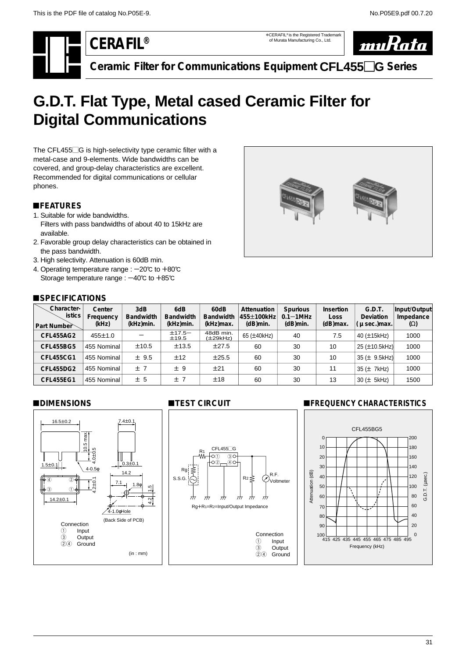\*CERAFIL® is the Registered Trademark of Murata Manufacturing Co., Ltd.



**Ceramic Filter for Communications Equipment CFL455**-**G Series**

# <span id="page-32-0"></span>**G.D.T. Flat Type, Metal cased Ceramic Filter for Digital Communications**

The CFL455 $\Box$ G is high-selectivity type ceramic filter with a metal-case and 9-elements. Wide bandwidths can be covered, and group-delay characteristics are excellent. Recommended for digital communications or cellular phones.

# !**FEATURES**

- 1. Suitable for wide bandwidths. Filters with pass bandwidths of about 40 to 15kHz are available.
- 2. Favorable group delay characteristics can be obtained in the pass bandwidth.
- 3. High selectivity. Attenuation is 60dB min.
- 4. Operating temperature range :  $-20^{\circ}$ c to  $+80^{\circ}$ c Storage temperature range :  $-40^{\circ}$ C to  $+85^{\circ}$ C



#### !**SPECIFICATIONS**

| Character-<br>istics<br>Part Number | Center<br>Frequency<br>(kHz) | 3dB<br><b>Bandwidth</b><br>(kHz)min. | 6dB<br><b>Bandwidth</b><br>(kHz)min. | 60dB<br><b>Bandwidth</b><br>(kHz)max. | Attenuation<br>455±100kHz<br>$(d)$ min. | <b>Spurious</b><br>$0.1 - 1$ MHz<br>$(d)$ min. | Insertion<br>Loss<br>$(d)$ max. | G.D.T.<br><b>Deviation</b><br>$\mu$ sec.) max. | Input/Output<br>Impedance<br>$(\Omega)$ |
|-------------------------------------|------------------------------|--------------------------------------|--------------------------------------|---------------------------------------|-----------------------------------------|------------------------------------------------|---------------------------------|------------------------------------------------|-----------------------------------------|
| <b>CFL455AG2</b>                    | 455±1.0                      |                                      | $±17.5-$<br>±19.5                    | 48dB min.<br>(±29kHz)                 | 65 (±40kHz)                             | 40                                             | 7.5                             | 40 (±15kHz)                                    | 1000                                    |
| <b>CFL455BG5</b>                    | 455 Nominal                  | ±10.5                                | ±13.5                                | ±27.5                                 | 60                                      | 30                                             | 10                              | 25 (±10.5kHz)                                  | 1000                                    |
| <b>CFL455CG1</b>                    | 455 Nominal                  | ± 9.5                                | ±12                                  | ±25.5                                 | 60                                      | 30                                             | 10                              | 35 (± 9.5kHz)                                  | 1000                                    |
| <b>CFL455DG2</b>                    | 455 Nominal                  | ±7                                   | ±9                                   | ±21                                   | 60                                      | 30                                             | 11                              | $35 \left( \pm 7$ kHz)                         | 1000                                    |
| <b>CFL455EG1</b>                    | 455 Nominal                  | ± 5                                  | ±7                                   | ±18                                   | 60                                      | 30                                             | 13                              | $30 (\pm 5$ kHz)                               | 1500                                    |

#### !**DIMENSIONS**



### **TEST CIRCUIT**



# **EREQUENCY CHARACTERISTICS**

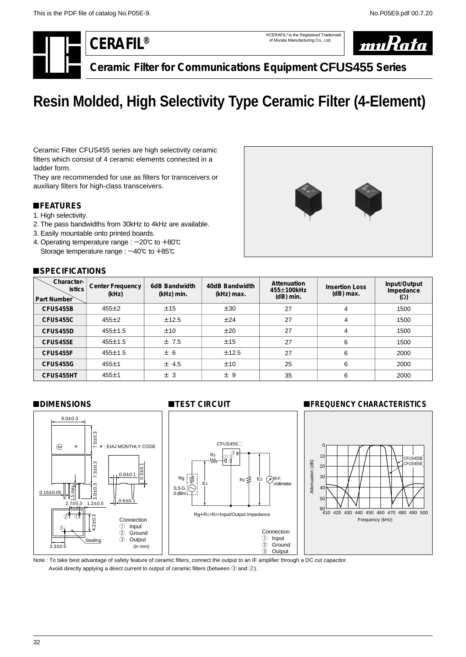\*CERAFIL® is the Registered Trademark of Murata Manufacturing Co., Ltd.



**Ceramic Filter for Communications Equipment CFUS455 Series**

# <span id="page-33-0"></span>**Resin Molded, High Selectivity Type Ceramic Filter (4-Element)**

Ceramic Filter CFUS455 series are high selectivity ceramic filters which consist of 4 ceramic elements connected in a ladder form.

They are recommended for use as filters for transceivers or auxiliary filters for high-class transceivers.

# !**FEATURES**

- 1. High selectivity.
- 2. The pass bandwidths from 30kHz to 4kHz are available.
- 3. Easily mountable onto printed boards.
- 4. Operating temperature range :  $-20^{\circ}$ C to  $+80^{\circ}$ C Storage temperature range :  $-40^{\circ}$ c to  $+85^{\circ}$ c

# ■**SPECIFICATIONS**



| Character-<br><b>istics</b><br>Part Number | Center Frequency<br>(kHz) | 6dB Bandwidth<br>(kHz) min. | 40dB Bandwidth<br>(kHz) max. | Attenuation<br>455±100kHz<br>$(dB)$ min. | <b>Insertion Loss</b><br>$(dB)$ max. | Input/Output<br>Impedance<br>$(\Omega)$ |
|--------------------------------------------|---------------------------|-----------------------------|------------------------------|------------------------------------------|--------------------------------------|-----------------------------------------|
| CFUS455B                                   | $455 \pm 2$               | ±15                         | ±30                          | 27                                       | 4                                    | 1500                                    |
| CFUS455C                                   | $455 \pm 2$               | ±12.5                       | ±24                          | 27                                       | 4                                    | 1500                                    |
| CFUS455D                                   | $455 \pm 1.5$             | ±10                         | ±20                          | 27                                       | 4                                    | 1500                                    |
| CFUS455E                                   | $455 \pm 1.5$             | ±7.5                        | ±15                          | 27                                       | 6                                    | 1500                                    |
| CFUS455F                                   | $455 \pm 1.5$             | ± 6                         | ±12.5                        | 27                                       | 6                                    | 2000                                    |
| CFUS455G                                   | 455±1                     | ± 4.5                       | ±10                          | 25                                       | 6                                    | 2000                                    |
| CFUS455HT                                  | 455±1                     | ± 3                         | ±9                           | 35                                       | 6                                    | 2000                                    |

### !**DIMENSIONS**



Note : To take best advantage of safety feature of ceramic filters, connect the output to an IF amplifier through a DC cut capacitor. Avoid directly applying a direct current to output of ceramic filters (between 3 and 2).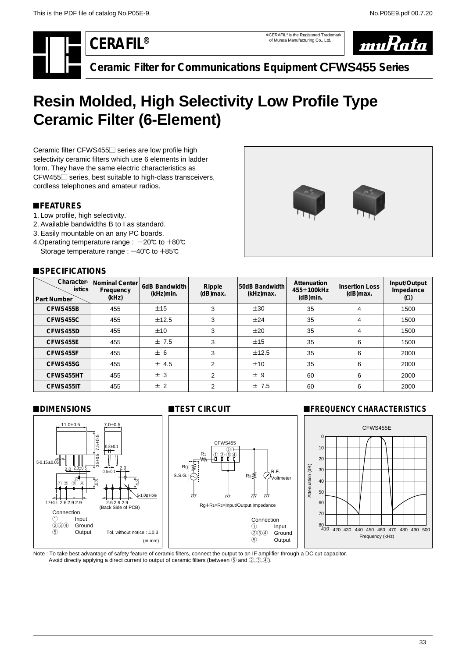\*CERAFIL® is the Registered Trademark of Murata Manufacturing Co., Ltd.



**Ceramic Filter for Communications Equipment CFWS455 Series**

# <span id="page-34-0"></span>**Resin Molded, High Selectivity Low Profile Type Ceramic Filter (6-Element)**

Ceramic filter CFWS455<sup>-</sup> series are low profile high selectivity ceramic filters which use 6 elements in ladder form. They have the same electric characteristics as CFW455 $\Box$  series, best suitable to high-class transceivers, cordless telephones and amateur radios.

# !**FEATURES**

- 1. Low profile, high selectivity.
- 2. Available bandwidths B to I as standard.
- 3. Easily mountable on an any PC boards.
- 4. Operating temperature range :  $-20^{\circ}$  to  $+80^{\circ}$ Storage temperature range :  $-40^{\circ}$ c to  $+85^{\circ}$ c

# ■**SPECIFICATIONS**



| Character-<br><b>istics</b><br><b>Part Number</b> | <b>Nominal Center</b><br>Frequency<br>(kHz) | 6dB Bandwidth<br>(kHz)min. | Ripple<br>(dB)max. | 50dB Bandwidth<br>(kHz)max. | Attenuation<br>455±100kHz<br>$(dB)$ min. | <b>Insertion Loss</b><br>(dB)max. | Input/Output<br>Impedance<br>$(\Omega)$ |
|---------------------------------------------------|---------------------------------------------|----------------------------|--------------------|-----------------------------|------------------------------------------|-----------------------------------|-----------------------------------------|
| CFWS455B                                          | 455                                         | ±15                        | 3                  | ±30                         | 35                                       | 4                                 | 1500                                    |
| CFWS455C                                          | 455                                         | ±12.5                      | 3                  | ±24                         | 35                                       | 4                                 | 1500                                    |
| CFWS455D                                          | 455                                         | ±10                        | 3                  | ±20                         | 35                                       | 4                                 | 1500                                    |
| CFWS455E                                          | 455                                         | ±7.5                       | 3                  | ±15                         | 35                                       | 6                                 | 1500                                    |
| CFWS455F                                          | 455                                         | ± 6                        | 3                  | ±12.5                       | 35                                       | 6                                 | 2000                                    |
| CFWS455G                                          | 455                                         | ± 4.5                      | $\overline{2}$     | ±10                         | 35                                       | 6                                 | 2000                                    |
| CFWS455HT                                         | 455                                         | ± 3                        | $\overline{2}$     | ±9                          | 60                                       | 6                                 | 2000                                    |
| CFWS455IT                                         | 455                                         | ± 2                        | $\overline{2}$     | ±7.5                        | 60                                       | 6                                 | 2000                                    |



# !**DIMENSIONS** !**TEST CIRCUIT** !**FREQUENCY CHARACTERISTICS**



Note : To take best advantage of safety feature of ceramic filters, connect the output to an IF amplifier through a DC cut capacitor. Avoid directly applying a direct current to output of ceramic filters (between  $(5 \text{ and } 2, 3, 4)$ ).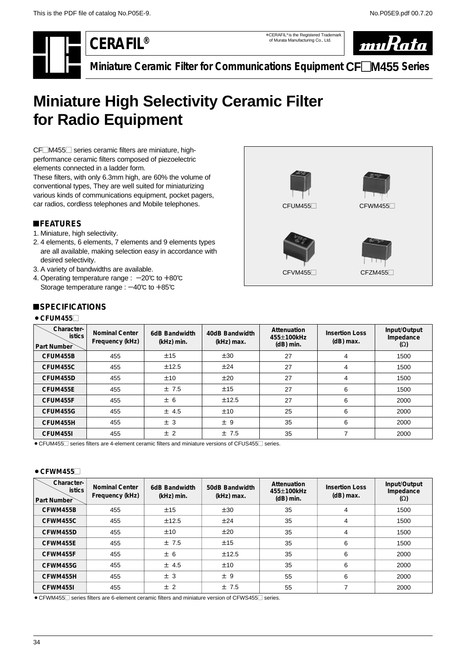\*CERAFIL® is the Registered Trademark of Murata Manufacturing Co., Ltd.



**Miniature Ceramic Filter for Communications Equipment CF**-**M455 Series**

# <span id="page-35-0"></span>**Miniature High Selectivity Ceramic Filter for Radio Equipment**

CF<sup>M455</sub> series ceramic filters are miniature, high-</sup> performance ceramic filters composed of piezoelectric elements connected in a ladder form.

These filters, with only 6.3mm high, are 60% the volume of conventional types, They are well suited for miniaturizing various kinds of communications equipment, pocket pagers, car radios, cordless telephones and Mobile telephones.

# !**FEATURES**

- 1. Miniature, high selectivity.
- 2. 4 elements, 6 elements, 7 elements and 9 elements types are all available, making selection easy in accordance with desired selectivity.
- 3. A variety of bandwidths are available.
- 4. Operating temperature range :  $-20^{\circ}$ C to  $+80^{\circ}$ C Storage temperature range :  $-40^{\circ}$ C to  $+85^{\circ}$ C



# $B$  **SPECIFICATIONS**

#### $\bullet$  CFUM455 $\Box$

| Character-<br><b>istics</b><br>Part Number | <b>Nominal Center</b><br>Frequency (kHz) | 6dB Bandwidth<br>(kHz) min. | 40dB Bandwidth<br>(kHz) max. | Attenuation<br>455±100kHz<br>$(dB)$ min. | <b>Insertion Loss</b><br>$(dB)$ max. | Input/Output<br>Impedance<br>$(\Omega)$ |
|--------------------------------------------|------------------------------------------|-----------------------------|------------------------------|------------------------------------------|--------------------------------------|-----------------------------------------|
| CFUM455B                                   | 455                                      | ±15                         | ±30                          | 27                                       | 4                                    | 1500                                    |
| CFUM455C                                   | 455                                      | ±12.5                       | ±24                          | 27                                       | 4                                    | 1500                                    |
| CFUM455D                                   | 455                                      | ±10                         | ±20                          | 27                                       | 4                                    | 1500                                    |
| CFUM455E                                   | 455                                      | ±7.5                        | ±15                          | 27                                       | 6                                    | 1500                                    |
| CFUM455F                                   | 455                                      | ± 6                         | ±12.5                        | 27                                       | 6                                    | 2000                                    |
| CFUM455G                                   | 455                                      | ± 4.5                       | ±10                          | 25                                       | 6                                    | 2000                                    |
| CFUM455H                                   | 455                                      | ± 3                         | ±9                           | 35                                       | 6                                    | 2000                                    |
| CFUM455I                                   | 455                                      | ± 2                         | ±7.5                         | 35                                       |                                      | 2000                                    |

• CFUM455 $\Box$  series filters are 4-element ceramic filters and miniature versions of CFUS455 $\Box$  series.

#### $\bullet$  CFWM455 $\Box$

| Character-<br><i>istics</i><br><b>Part Number</b> | <b>Nominal Center</b><br>Frequency (kHz) | 6dB Bandwidth<br>(kHz) min. | 50dB Bandwidth<br>(kHz) max. | Attenuation<br>455±100kHz<br>$(dB)$ min. | <b>Insertion Loss</b><br>$(dB)$ max. | Input/Output<br>Impedance<br>$(\Omega)$ |
|---------------------------------------------------|------------------------------------------|-----------------------------|------------------------------|------------------------------------------|--------------------------------------|-----------------------------------------|
| CFWM455B                                          | 455                                      | ±15                         | ±30                          | 35                                       | 4                                    | 1500                                    |
| CFWM455C                                          | 455                                      | ±12.5                       | ±24                          | 35                                       | 4                                    | 1500                                    |
| CFWM455D                                          | 455                                      | ±10                         | ±20                          | 35                                       | 4                                    | 1500                                    |
| CFWM455E                                          | 455                                      | ±7.5                        | ±15                          | 35                                       | 6                                    | 1500                                    |
| CFWM455F                                          | 455                                      | ± 6                         | ±12.5                        | 35                                       | 6                                    | 2000                                    |
| CFWM455G                                          | 455                                      | ± 4.5                       | ±10                          | 35                                       | 6                                    | 2000                                    |
| CFWM455H                                          | 455                                      | ± 3                         | ±9                           | 55                                       | 6                                    | 2000                                    |
| CFWM455I                                          | 455                                      | ± 2                         | ±7.5                         | 55                                       |                                      | 2000                                    |

 $\bullet$  CFWM455 $\Box$  series filters are 6-element ceramic filters and miniature version of CFWS455 $\Box$  series.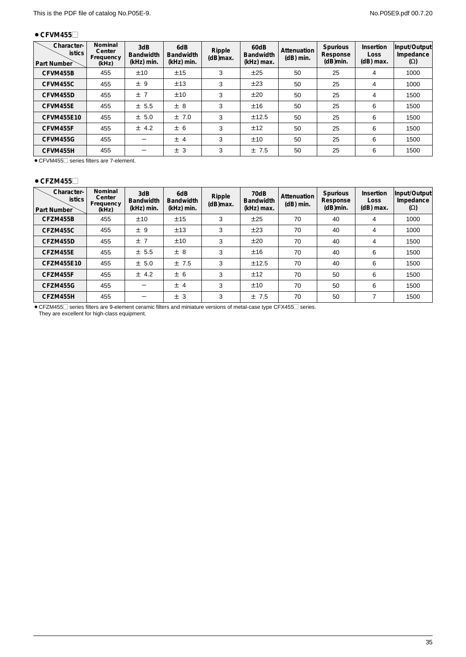#### $\bullet$  CFVM455 $\Box$

| Character-<br><b>istics</b><br>Part Number | Nominal<br>Center<br>Frequency<br>(kHz) | 3dB<br><b>Bandwidth</b><br>(kHz) min. | 6dB<br><b>Bandwidth</b><br>(kHz) min. | Ripple<br>$(d)$ max. | 60dB<br><b>Bandwidth</b><br>(kHz) max. | Attenuation<br>$(dB)$ min. | <b>Spurious</b><br>Response<br>$(dB)$ min. | Insertion<br><b>Loss</b><br>$(dB)$ max. | Input/Output<br>Impedance<br>$(\Omega)$ |
|--------------------------------------------|-----------------------------------------|---------------------------------------|---------------------------------------|----------------------|----------------------------------------|----------------------------|--------------------------------------------|-----------------------------------------|-----------------------------------------|
| CFVM455B                                   | 455                                     | ±10                                   | ±15                                   | 3                    | ±25                                    | 50                         | 25                                         | 4                                       | 1000                                    |
| CFVM455C                                   | 455                                     | ±9                                    | ±13                                   | 3                    | ±23                                    | 50                         | 25                                         | 4                                       | 1000                                    |
| CFVM455D                                   | 455                                     | ±7                                    | ±10                                   | 3                    | ±20                                    | 50                         | 25                                         | 4                                       | 1500                                    |
| CFVM455E                                   | 455                                     | ± 5.5                                 | ± 8                                   | 3                    | ±16                                    | 50                         | 25                                         | 6                                       | 1500                                    |
| <b>CFVM455E10</b>                          | 455                                     | ± 5.0                                 | ±7.0                                  | 3                    | ±12.5                                  | 50                         | 25                                         | 6                                       | 1500                                    |
| CFVM455F                                   | 455                                     | ± 4.2                                 | ± 6                                   | 3                    | ±12                                    | 50                         | 25                                         | 6                                       | 1500                                    |
| CFVM455G                                   | 455                                     |                                       | ± 4                                   | 3                    | ±10                                    | 50                         | 25                                         | 6                                       | 1500                                    |
| CFVM455H                                   | 455                                     |                                       | ±3                                    | 3                    | ±7.5                                   | 50                         | 25                                         | 6                                       | 1500                                    |

● CFVM455 $□$  series filters are 7-element.

#### $\bullet$  CFZM455 $\Box$

| Character-<br><b>istics</b><br>Part Number | Nominal<br>Center<br>Frequency<br>(kHz) | 3dB<br><b>Bandwidth</b><br>(kHz) min. | 6dB<br><b>Bandwidth</b><br>(kHz) min. | Ripple<br>$(d)$ max. | 70dB<br><b>Bandwidth</b><br>(kHz) max. | Attenuation<br>$(dB)$ min. | Spurious<br>Response<br>$(dB)$ min. | Insertion<br><b>Loss</b><br>$(dB)$ max. | Input/Output<br>Impedance<br>$(\Omega)$ |
|--------------------------------------------|-----------------------------------------|---------------------------------------|---------------------------------------|----------------------|----------------------------------------|----------------------------|-------------------------------------|-----------------------------------------|-----------------------------------------|
| CFZM455B                                   | 455                                     | ±10                                   | ±15                                   | 3                    | ±25                                    | 70                         | 40                                  | 4                                       | 1000                                    |
| CFZM455C                                   | 455                                     | ±9                                    | ±13                                   | 3                    | ±23                                    | 70                         | 40                                  | 4                                       | 1000                                    |
| CFZM455D                                   | 455                                     | ±7                                    | ±10                                   | 3                    | ±20                                    | 70                         | 40                                  | 4                                       | 1500                                    |
| CFZM455E                                   | 455                                     | ± 5.5                                 | ± 8                                   | 3                    | ±16                                    | 70                         | 40                                  | 6                                       | 1500                                    |
| CFZM455E10                                 | 455                                     | ± 5.0                                 | ±7.5                                  | 3                    | ±12.5                                  | 70                         | 40                                  | 6                                       | 1500                                    |
| CFZM455F                                   | 455                                     | ± 4.2                                 | ± 6                                   | 3                    | ±12                                    | 70                         | 50                                  | 6                                       | 1500                                    |
| CFZM455G                                   | 455                                     |                                       | ±4                                    | 3                    | ±10                                    | 70                         | 50                                  | 6                                       | 1500                                    |
| CFZM455H                                   | 455                                     |                                       | ± 3                                   | 3                    | ±7.5                                   | 70                         | 50                                  | ⇁                                       | 1500                                    |

● CFZM455 series filters are 9-element ceramic filters and miniature versions of metal-case type CFX455 series. They are excellent for high-class equipment.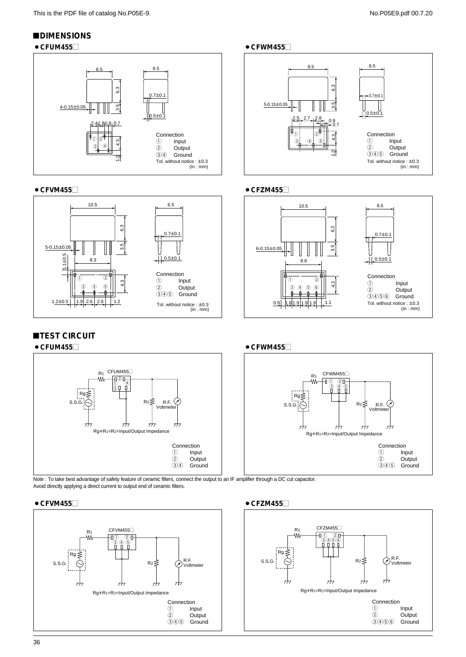# !**DIMENSIONS**

### ¡**CFUM455**- ¡**CFWM455**-





# **TEST CIRCUIT**





Note : To take best advantage of safety feature of ceramic filters, connect the output to an IF amplifier through a DC cut capacitor. Avoid directly applying a direct current to output end of ceramic filters.

#### ¡**CFVM455**- ¡**CFZM455**-





#### ¡**CFVM455**- ¡**CFZM455**-





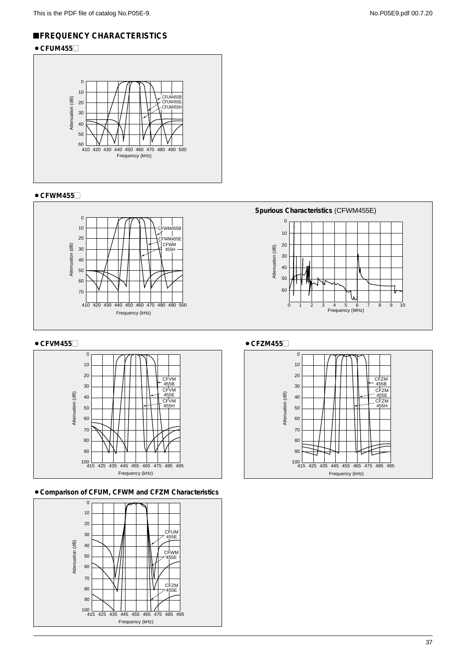# !**FREQUENCY CHARACTERISTICS**

# $\bullet$  CFUM455 $\Box$



### $\bullet$  CFWM455 $\Box$



#### ● CFVM455



#### ¡**Comparison of CFUM, CFWM and CFZM Characteristics**



# 0 **Spurious Characteristics** (CFWM455E)



 $\bullet$  CFZM455 $\Box$ 

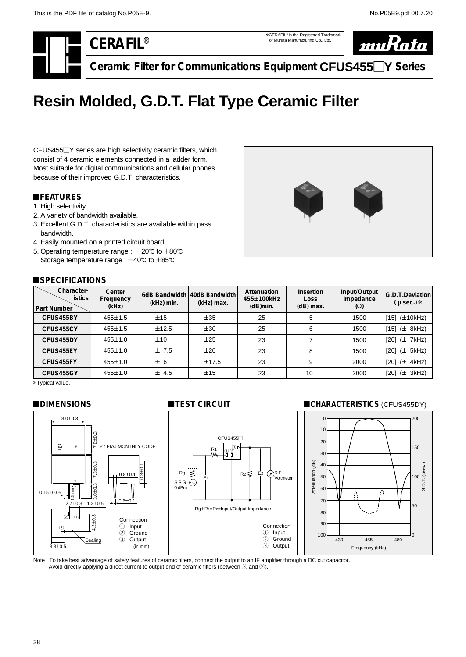<span id="page-39-0"></span>

\*CERAFIL® is the Registered Trademark of Murata Manufacturing Co., Ltd.



**Ceramic Filter for Communications Equipment CFUS455**-**Y Series**

# **Resin Molded, G.D.T. Flat Type Ceramic Filter**

CFUS455<sup>-</sup>Y series are high selectivity ceramic filters, which consist of 4 ceramic elements connected in a ladder form. Most suitable for digital communications and cellular phones because of their improved G.D.T. characteristics.

# !**FEATURES**

- 1. High selectivity.
- 2. A variety of bandwidth available.
- 3. Excellent G.D.T. characteristics are available within pass bandwidth.
- 4. Easily mounted on a printed circuit board.
- 5. Operating temperature range :  $-20^{\circ}$ C to  $+80^{\circ}$ C Storage temperature range :  $-40^{\circ}$ C to  $+85^{\circ}$ C

### !**SPECIFICATIONS**



| Character-<br><b>istics</b><br>Part Number | Center<br>Frequency<br>(kHz) | (kHz) min. | 6dB Bandwidth 40dB Bandwidth<br>(kHz) max. | Attenuation<br>455±100kHz<br>$(dB)$ min. | Insertion<br>Loss<br>$(dB)$ max. | Input/Output<br>Impedance<br>$(\Omega)$ | G.D.T.Deviation<br>$(\mu$ sec.) $*$ |
|--------------------------------------------|------------------------------|------------|--------------------------------------------|------------------------------------------|----------------------------------|-----------------------------------------|-------------------------------------|
| CFUS455BY                                  | $455 \pm 1.5$                | ±15        | ±35                                        | 25                                       | 5                                | 1500                                    | $[15]$ ( $\pm$ 10kHz)               |
| CFUS455CY                                  | $455 \pm 1.5$                | ±12.5      | ±30                                        | 25                                       | 6                                | 1500                                    | [15] $(\pm 8kHz)$                   |
| CFUS455DY                                  | 455±1.0                      | ±10        | ±25                                        | 23                                       |                                  | 1500                                    | [20] (± 7kHz)                       |
| CFUS455EY                                  | 455±1.0                      | ±7.5       | ±20                                        | 23                                       | 8                                | 1500                                    | [20] (± 5kHz)                       |
| CFUS455FY                                  | $455 \pm 1.0$                | ± 6        | ±17.5                                      | 23                                       | 9                                | 2000                                    | [20] (± 4kHz)                       |
| CFUS455GY                                  | 455±1.0                      | ± 4.5      | ±15                                        | 23                                       | 10                               | 2000                                    | $[20]$ ( $\pm$ 3kHz)                |

\*Typical value.

#### !**DIMENSIONS**



### !**CHARACTERISTICS** (CFUS455DY)



Note : To take best advantage of safety features of ceramic filters, connect the output to an IF amplifier through a DC cut capacitor. Avoid directly applying a direct current to output end of ceramic filters (between 3 and 2).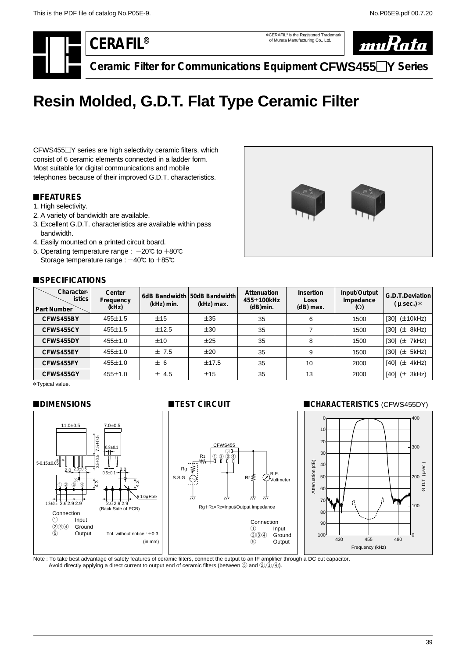<span id="page-40-0"></span>

\*CERAFIL® is the Registered Trademark of Murata Manufacturing Co., Ltd.



**Ceramic Filter for Communications Equipment CFWS455**-**Y Series**

# **Resin Molded, G.D.T. Flat Type Ceramic Filter**

CFWS455<sup>-Y</sup> series are high selectivity ceramic filters, which consist of 6 ceramic elements connected in a ladder form. Most suitable for digital communications and mobile telephones because of their improved G.D.T. characteristics.

# !**FEATURES**

- 1. High selectivity.
- 2. A variety of bandwidth are available.
- 3. Excellent G.D.T. characteristics are available within pass bandwidth.
- 4. Easily mounted on a printed circuit board.
- 5. Operating temperature range :  $-20^{\circ}$ C to  $+80^{\circ}$ C Storage temperature range :  $-40^{\circ}$ C to  $+85^{\circ}$ C

# ■**SPECIFICATIONS**



| Character-<br><b>istics</b><br>Part Number | Center<br>Frequency<br>(kHz) | (kHz) min. | 6dB Bandwidth 50dB Bandwidth<br>(kHz) max. | Attenuation<br>455±100kHz<br>$(d)$ min. | Insertion<br>Loss<br>$(dB)$ max. | Input/Output<br>Impedance<br>$(\Omega)$ | G.D.T.Deviation<br>$(\mu$ sec.) $*$ |
|--------------------------------------------|------------------------------|------------|--------------------------------------------|-----------------------------------------|----------------------------------|-----------------------------------------|-------------------------------------|
| CFWS455BY                                  | $455 \pm 1.5$                | ±15        | ±35                                        | 35                                      | 6                                | 1500                                    | [30] (±10kHz)                       |
| CFWS455CY                                  | $455 \pm 1.5$                | ±12.5      | ±30                                        | 35                                      |                                  | 1500                                    | $[30]$ ( $\pm$ 8kHz)                |
| CFWS455DY                                  | 455±1.0                      | ±10        | ±25                                        | 35                                      | 8                                | 1500                                    | [30] (± 7kHz)                       |
| CFWS455EY                                  | 455±1.0                      | ±7.5       | ±20                                        | 35                                      | 9                                | 1500                                    | $[30]$ ( $\pm$ 5kHz)                |
| CFWS455FY                                  | 455±1.0                      | ± 6        | ±17.5                                      | 35                                      | 10                               | 2000                                    | [40] (± 4kHz)                       |
| CFWS455GY                                  | 455±1.0                      | ± 4.5      | ±15                                        | 35                                      | 13                               | 2000                                    | [40] $(\pm 3kHz)$                   |

\*Typical value.

#### !**DIMENSIONS**



### !**CHARACTERISTICS** (CFWS455DY)



Note : To take best advantage of safety features of ceramic filters, connect the output to an IF amplifier through a DC cut capacitor. Avoid directly applying a direct current to output end of ceramic filters (between  $\circled$  and  $(2, 3, 4)$ ).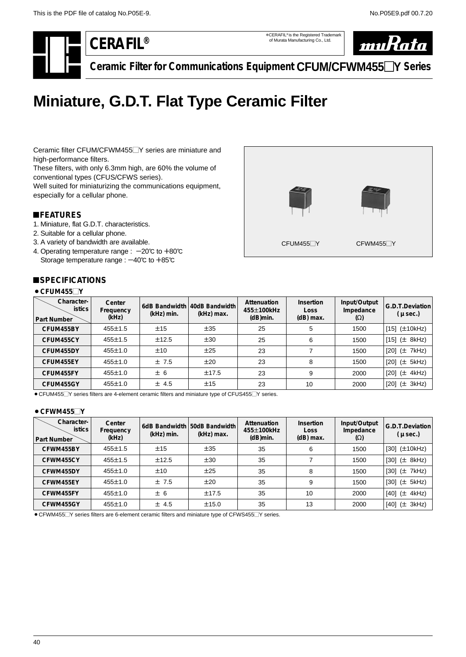<span id="page-41-0"></span>

\*CERAFIL® is the Registered Trademark of Murata Manufacturing Co., Ltd.



**Ceramic Filter for Communications Equipment CFUM/CFWM455**-**Y Series**

# **Miniature, G.D.T. Flat Type Ceramic Filter**

Ceramic filter CFUM/CFWM455<sup>-Y</sup> series are miniature and high-performance filters.

These filters, with only 6.3mm high, are 60% the volume of conventional types (CFUS/CFWS series).

Well suited for miniaturizing the communications equipment, especially for a cellular phone.

# !**FEATURES**

- 1. Miniature, flat G.D.T. characteristics.
- 2. Suitable for a cellular phone.
- 3. A variety of bandwidth are available.
- 4. Operating temperature range :  $-20^{\circ}$ C to  $+80^{\circ}$ C Storage temperature range :  $-40^{\circ}$ C to  $+85^{\circ}$ C

# ■**SPECIFICATIONS**

# $\bullet$  CFUM455 $\neg$ Y



| Character-<br><b>istics</b><br>Part Number | Center<br>Frequency<br>(kHz) | (kHz) min. | 6dB Bandwidth 40dB Bandwidth<br>(kHz) max. | Attenuation<br>455±100kHz<br>(dB)min. | <b>Insertion</b><br>Loss<br>$(dB)$ max. | Input/Output<br>Impedance<br>$(\Omega)$ | G.D.T.Deviation<br>$(\mu$ sec.) |
|--------------------------------------------|------------------------------|------------|--------------------------------------------|---------------------------------------|-----------------------------------------|-----------------------------------------|---------------------------------|
| CFUM455BY                                  | 455±1.5                      | ±15        | ±35                                        | 25                                    | 5                                       | 1500                                    | [15] (±10kHz)                   |
| CFUM455CY                                  | $455 \pm 1.5$                | ±12.5      | ±30                                        | 25                                    | 6                                       | 1500                                    | [15] $(\pm 8kHz)$               |
| CFUM455DY                                  | 455±1.0                      | ±10        | ±25                                        | 23                                    |                                         | 1500                                    | [20] (± 7kHz)                   |
| CFUM455EY                                  | $455 \pm 1.0$                | ±7.5       | ±20                                        | 23                                    | 8                                       | 1500                                    | [20] $(\pm 5kHz)$               |
| CFUM455FY                                  | 455±1.0                      | ± 6        | ±17.5                                      | 23                                    | 9                                       | 2000                                    | $[20]$ ( $\pm$ 4kHz)            |
| CFUM455GY                                  | 455±1.0                      | ± 4.5      | ±15                                        | 23                                    | 10                                      | 2000                                    | [20] (± 3kHz)                   |

● CFUM455<sup> $\Box$ </sup>Y series filters are 4-element ceramic filters and miniature type of CFUS455 $\Box$ Y series.

#### ● CFWM455<sup>1</sup>

| Character-<br><b>istics</b><br><b>Part Number</b> | Center<br>Frequency<br>(kHz) | (kHz) min. | 6dB Bandwidth 50dB Bandwidth<br>(kHz) max. | Attenuation<br>455±100kHz<br>$(d)$ min. | <b>Insertion</b><br><b>Loss</b><br>$(dB)$ max. | Input/Output<br>Impedance<br>$(\Omega)$ | G.D.T.Deviation<br>( $\mu$ sec.) |
|---------------------------------------------------|------------------------------|------------|--------------------------------------------|-----------------------------------------|------------------------------------------------|-----------------------------------------|----------------------------------|
| CFWM455BY                                         | $455 \pm 1.5$                | ±15        | ±35                                        | 35                                      | 6                                              | 1500                                    | $[30]$ $(\pm 10kHz)$             |
| CFWM455CY                                         | $455 \pm 1.5$                | ±12.5      | ±30                                        | 35                                      |                                                | 1500                                    | $[30]$ ( $\pm$ 8kHz)             |
| CFWM455DY                                         | 455±1.0                      | ±10        | ±25                                        | 35                                      | 8                                              | 1500                                    | $[30]$ ( $\pm$ 7kHz)             |
| CFWM455EY                                         | 455±1.0                      | ±7.5       | ±20                                        | 35                                      | 9                                              | 1500                                    | [30] $(\pm$ 5kHz)                |
| CFWM455FY                                         | 455±1.0                      | ± 6        | ±17.5                                      | 35                                      | 10                                             | 2000                                    | [40] (± 4kHz)                    |
| CFWM455GY                                         | 455±1.0                      | $±$ 4.5    | ±15.0                                      | 35                                      | 13                                             | 2000                                    | [40] $(\pm 3kHz)$                |

● CFWM455<sup>
</sup>Y series filters are 6-element ceramic filters and miniature type of CFWS455
TY series.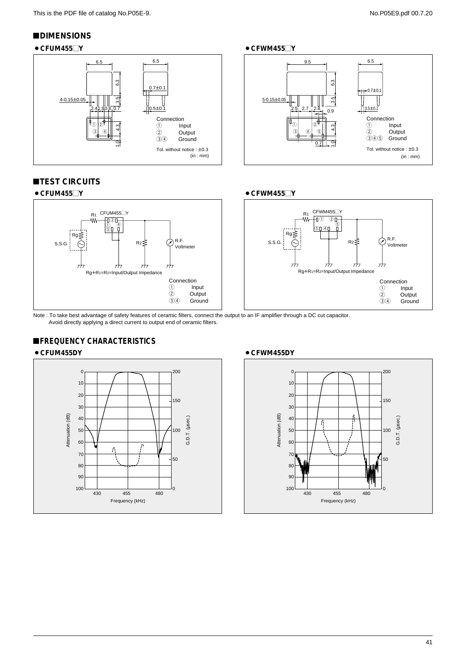### !**DIMENSIONS**



# **TEST CIRCUITS**



Note : To take best advantage of safety features of ceramic filters, connect the output to an IF amplifier through a DC cut capacitor.

# **EREQUENCY CHARACTERISTICS**

#### ¡**CFUM455DY**



#### ¡**CFWM455DY** 200  $\mathfrak{c}$ 10 20 150 30 Attenuation (dB) Attenuation (dB) 40 G.D.T. (µsec.) G.D.T. (usec. Ą 50 100 60 70 50 80 90 100 1<br>430 455 480 0 Frequency (kHz)

#### ¡**CFUM455**-**Y** ¡**CFWM455**-**Y**





Avoid directly applying a direct current to output end of ceramic filters.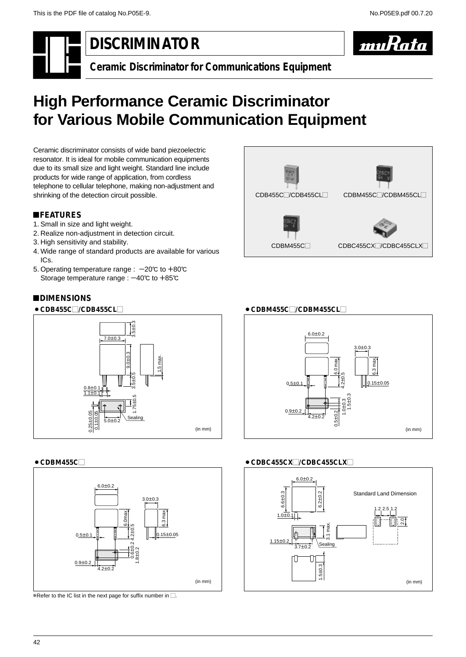muRata

<span id="page-43-0"></span>



**Ceramic Discriminator for Communications Equipment**

# **High Performance Ceramic Discriminator for Various Mobile Communication Equipment**

Ceramic discriminator consists of wide band piezoelectric resonator. It is ideal for mobile communication equipments due to its small size and light weight. Standard line include products for wide range of application, from cordless telephone to cellular telephone, making non-adjustment and shrinking of the detection circuit possible.

# !**FEATURES**

- 1. Small in size and light weight.
- 2. Realize non-adjustment in detection circuit.
- 3. High sensitivity and stability.
- 4. Wide range of standard products are available for various ICs.
- 5. Operating temperature range :  $-20^{\circ}$  to  $+80^{\circ}$ C Storage temperature range :  $-40^{\circ}$ C to  $+85^{\circ}$ C



# !**DIMENSIONS**



# $\bullet$  CDBM455C $\Box$



 $*$ Refer to the IC list in the next page for suffix number in  $\Box$ .

# ● CDBM455C<sub>2</sub>/CDBM455CL



# ● CDBC455CX□/CDBC455CLX□

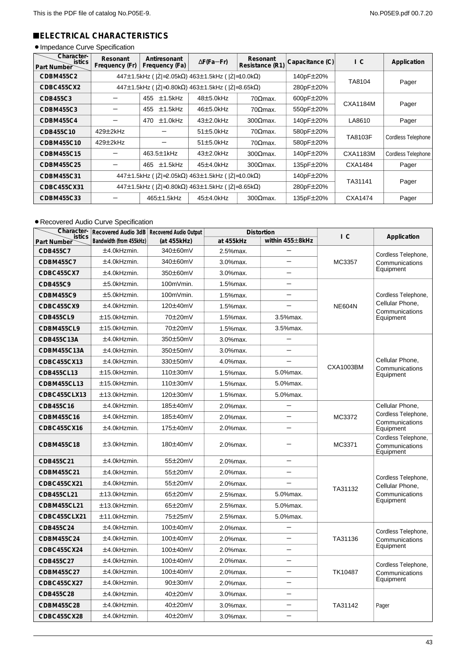# !**ELECTRICAL CHARACTERISTICS**

# · Impedance Curve Specification

| Character-<br><b>istics</b><br>Part Number | Resonant<br>Frequency (Fr)                                        | Antiresonant<br>Frequency (Fa)                                    | $\Delta F$ (Fa-Fr) | Resonant<br>Resistance (R1) | Capacitance (C) | $\overline{C}$ | Application        |
|--------------------------------------------|-------------------------------------------------------------------|-------------------------------------------------------------------|--------------------|-----------------------------|-----------------|----------------|--------------------|
| CDBM455C2                                  |                                                                   | 447±1.5kHz ( $ Z =2.05k\Omega$ ) 463±1.5kHz ( $ Z =10.0k\Omega$ ) |                    |                             | 140pF±20%       | TA8104         |                    |
| CDBC455CX2                                 |                                                                   | 447±1.5kHz ( $ Z =0.80$ kΩ) 463±1.5kHz ( $ Z =3.65$ kΩ)           |                    |                             | 280pF±20%       |                | Pager              |
| CDB455C3                                   | $±1.5$ kHz<br>$48\pm5.0$ kHz<br>455                               |                                                                   |                    | $70$ $Omega$ max.           | 600pF±20%       | CXA1184M       |                    |
| CDBM455C3                                  |                                                                   | $±1.5$ kHz<br>455                                                 | $46±5.0$ kHz       | $70$ $Omega$ max.           | 550pF±20%       |                | Pager              |
| CDBM455C4                                  |                                                                   | $±1.0$ kHz<br>470                                                 | $43\pm2.0$ kHz     | $300$ $\Omega$ max.         | 140pF±20%       | LA8610         | Pager              |
| CDB455C10                                  | $429\pm2$ kHz                                                     |                                                                   | $51\pm5.0$ kHz     | $70$ $\Omega$ max.          | 580pF±20%       | TA8103F        |                    |
| CDBM455C10                                 | $429\pm2$ kHz                                                     |                                                                   | $51\pm5.0$ kHz     | $70$ $\Omega$ max.          | 580pF±20%       |                | Cordless Telephone |
| CDBM455C15                                 |                                                                   | 463.5±1kHz                                                        | $43\pm2.0$ kHz     | $300$ $\Omega$ max.         | 140pF±20%       | CXA1183M       | Cordless Telephone |
| CDBM455C25                                 |                                                                   | $±1.5$ kHz<br>465                                                 | $45\pm4.0$ kHz     | $300$ $\Omega$ max.         | 135pF±20%       | CXA1484        | Pager              |
| CDBM455C31                                 | 447±1.5kHz ( $ Z =2.05k\Omega$ ) 463±1.5kHz ( $ Z =10.0k\Omega$ ) |                                                                   |                    |                             | 140pF±20%       | TA31141        |                    |
| CDBC455CX31                                |                                                                   | 447±1.5kHz ( $ Z =0.80$ kΩ) 463±1.5kHz ( $ Z =3.65$ kΩ)           |                    |                             |                 |                | Pager              |
| CDBM455C33                                 |                                                                   | 465±1.5kHz                                                        | $45±4.0$ kHz       | $300$ $\Omega$ max.         | 135pF±20%       | CXA1474        | Pager              |

# **• Recovered Audio Curve Specification**

| Character-<br>istics |                         | Recovered Audio 3dB Recovered Audio Output |             | <b>Distortion</b>        | $\overline{C}$ |                                                    |
|----------------------|-------------------------|--------------------------------------------|-------------|--------------------------|----------------|----------------------------------------------------|
| Part Number          | Bandwidth (from 455kHz) | (at 455kHz)                                | at 455kHz   | within 455±8kHz          |                | Application                                        |
| CDB455C7             | ±4.0kHzmin.             | 340±60mV                                   | 2.5%max.    |                          |                | Cordless Telephone,                                |
| <b>CDBM455C7</b>     | ±4.0kHzmin.             | 340±60mV                                   | 3.0%max.    |                          | MC3357         | Communications                                     |
| CDBC455CX7           | ±4.0kHzmin.             | 350±60mV                                   | $3.0%$ max. | ╾                        |                | Equipment                                          |
| CDB455C9             | ±5.0kHzmin.             | 100mVmin.                                  | 1.5% max.   | $\overline{\phantom{0}}$ |                |                                                    |
| <b>CDBM455C9</b>     | ±5.0kHzmin.             | 100mVmin.                                  | 1.5%max.    |                          |                | Cordless Telephone,                                |
| CDBC455CX9           | ±4.0kHzmin.             | 120±40mV                                   | 1.5%max.    |                          | <b>NE604N</b>  | Cellular Phone.<br>Communications                  |
| <b>CDB455CL9</b>     | ±15.0kHzmin.            | 70±20mV                                    | 1.5%max.    | 3.5%max.                 |                | Equipment                                          |
| CDBM455CL9           | ±15.0kHzmin.            | 70±20mV                                    | 1.5%max.    | 3.5%max.                 |                |                                                    |
| CDB455C13A           | ±4.0kHzmin.             | 350±50mV                                   | 3.0%max.    |                          |                |                                                    |
| CDBM455C13A          | ±4.0kHzmin.             | 350±50mV                                   | 3.0%max.    |                          |                |                                                    |
| CDBC455CX13          | ±4.0kHzmin.             | 330±50mV                                   | 4.0%max.    |                          | CXA1003BM      | Cellular Phone,                                    |
| CDB455CL13           | ±15.0kHzmin.            | 110±30mV                                   | 1.5% max.   | 5.0%max.                 |                | Communications<br>Equipment                        |
| <b>CDBM455CL13</b>   | ±15.0kHzmin.            | 110±30mV                                   | 1.5%max.    | 5.0%max.                 |                |                                                    |
| CDBC455CLX13         | $±13.0$ kHzmin.         | 120±30mV                                   | 1.5%max.    | 5.0%max.                 |                |                                                    |
| CDB455C16            | ±4.0kHzmin.             | 185±40mV                                   | 2.0%max.    |                          |                | Cellular Phone,                                    |
| CDBM455C16           | ±4.0kHzmin.             | 185±40mV                                   | 2.0%max.    |                          | MC3372         | Cordless Telephone,<br>Communications<br>Equipment |
| CDBC455CX16          | ±4.0kHzmin.             | 175±40mV                                   | 2.0%max.    |                          |                |                                                    |
| CDBM455C18           | ±3.0kHzmin.             | 180±40mV                                   | 2.0%max.    |                          | MC3371         | Cordless Telephone,<br>Communications<br>Equipment |
| CDB455C21            | ±4.0kHzmin.             | 55±20mV                                    | 2.0%max.    |                          |                |                                                    |
| CDBM455C21           | ±4.0kHzmin.             | 55±20mV                                    | $2.0%$ max. |                          |                | Cordless Telephone,                                |
| CDBC455CX21          | ±4.0kHzmin.             | 55±20mV                                    | 2.0%max.    |                          | TA31132        | Cellular Phone,                                    |
| CDB455CL21           | ±13.0kHzmin.            | 65±20mV                                    | 2.5%max.    | 5.0%max.                 |                | Communications                                     |
| <b>CDBM455CL21</b>   | ±13.0kHzmin.            | 65±20mV                                    | 2.5%max.    | 5.0%max.                 |                | Equipment                                          |
| CDBC455CLX21         | ±11.0kHzmin.            | 75±25mV                                    | 2.5%max.    | 5.0%max.                 |                |                                                    |
| CDB455C24            | ±4.0kHzmin.             | 100±40mV                                   | 2.0%max.    |                          |                | Cordless Telephone,                                |
| CDBM455C24           | ±4.0kHzmin.             | 100±40mV                                   | 2.0%max.    |                          | TA31136        | Communications                                     |
| CDBC455CX24          | ±4.0kHzmin.             | 100±40mV                                   | 2.0%max.    |                          |                | Equipment                                          |
| CDB455C27            | ±4.0kHzmin.             | 100±40mV                                   | 2.0%max.    |                          |                | Cordless Telephone,                                |
| CDBM455C27           | ±4.0kHzmin.             | 100±40mV                                   | 2.0%max.    |                          | TK10487        | Communications                                     |
| CDBC455CX27          | ±4.0kHzmin.             | 90±30mV                                    | 2.0%max.    |                          |                | Equipment                                          |
| CDB455C28            | ±4.0kHzmin.             | 40±20mV                                    | 3.0%max.    |                          |                |                                                    |
| <b>CDBM455C28</b>    | ±4.0kHzmin.             | 40±20mV                                    | 3.0%max.    |                          | TA31142        | Pager                                              |
| CDBC455CX28          | ±4.0kHzmin.             | 40±20mV                                    | 3.0%max.    |                          |                |                                                    |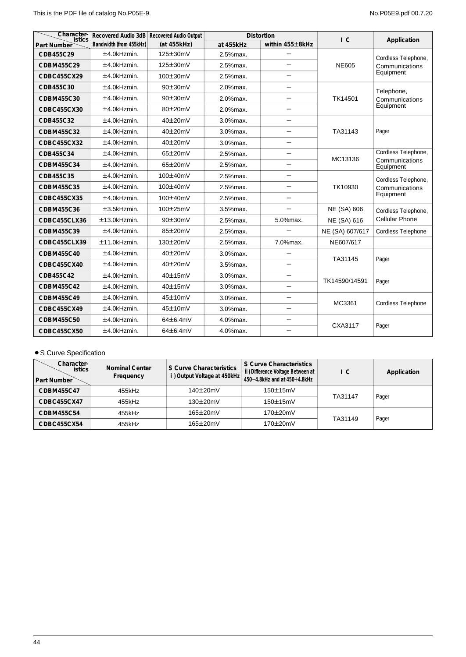| Character-<br>istics | Recovered Audio 3dB Recovered Audio Output |               |             | <b>Distortion</b>                | $\overline{C}$     | Application                 |
|----------------------|--------------------------------------------|---------------|-------------|----------------------------------|--------------------|-----------------------------|
| Part Number          | Bandwidth (from 455kHz)                    | (at 455kHz)   | at 455kHz   | within 455±8kHz                  |                    |                             |
| CDB455C29            | ±4.0kHzmin.                                | 125±30mV      | 2.5% max.   |                                  |                    | Cordless Telephone,         |
| CDBM455C29           | ±4.0kHzmin.                                | 125±30mV      | 2.5%max.    | —                                | <b>NE605</b>       | Communications              |
| CDBC455CX29          | ±4.0kHzmin.                                | 100±30mV      | 2.5% max.   |                                  |                    | Equipment                   |
| CDB455C30            | ±4.0kHzmin.                                | 90±30mV       | 2.0%max.    |                                  |                    | Telephone,                  |
| CDBM455C30           | ±4.0kHzmin.                                | $90\pm30$ mV  | 2.0%max.    | $\equiv$                         | TK14501            | Communications              |
| CDBC455CX30          | ±4.0kHzmin.                                | 80±20mV       | 2.0%max.    |                                  |                    | Equipment                   |
| CDB455C32            | ±4.0kHzmin.                                | 40±20mV       | 3.0%max.    |                                  |                    |                             |
| CDBM455C32           | ±4.0kHzmin.                                | 40±20mV       | 3.0%max.    |                                  | TA31143            | Pager                       |
| CDBC455CX32          | ±4.0kHzmin.                                | 40±20mV       | $3.0%$ max. |                                  |                    |                             |
| CDB455C34            | ±4.0kHzmin.                                | 65±20mV       | 2.5% max.   | $\overline{\phantom{m}}$         | MC13136            | Cordless Telephone,         |
| CDBM455C34           | ±4.0kHzmin.                                | 65±20mV       | 2.5% max.   |                                  |                    | Communications<br>Equipment |
| CDB455C35            | ±4.0kHzmin.                                | 100±40mV      | 2.5% max.   | $\overline{\phantom{m}}$         |                    | Cordless Telephone,         |
| CDBM455C35           | ±4.0kHzmin.                                | 100±40mV      | 2.5%max.    |                                  | TK10930            | Communications<br>Equipment |
| CDBC455CX35          | ±4.0kHzmin.                                | $100\pm40$ mV | 2.5% max.   |                                  |                    |                             |
| CDBM455C36           | ±3.5kHzmin.                                | 100±25mV      | 3.5% max.   |                                  | <b>NE (SA) 606</b> | Cordless Telephone,         |
| CDBC455CLX36         | ±13.0kHzmin.                               | 90±30mV       | 2.5% max.   | 5.0%max.                         | NE (SA) 616        | <b>Cellular Phone</b>       |
| CDBM455C39           | ±4.0kHzmin.                                | 85±20mV       | 2.5% max.   |                                  | NE (SA) 607/617    | Cordless Telephone          |
| CDBC455CLX39         | ±11.0kHzmin.                               | 130±20mV      | 2.5%max.    | 7.0%max.                         | NE607/617          |                             |
| CDBM455C40           | ±4.0kHzmin.                                | 40±20mV       | 3.0%max.    |                                  | TA31145            | Pager                       |
| CDBC455CX40          | $±4.0$ kHzmin.                             | $40\pm20$ mV  | 3.5% max.   | $\overline{\phantom{0}}$         |                    |                             |
| CDB455C42            | ±4.0kHzmin.                                | 40±15mV       | 3.0%max.    |                                  | TK14590/14591      | Pager                       |
| CDBM455C42           | ±4.0kHzmin.                                | 40±15mV       | 3.0%max.    | $\overbrace{\phantom{12322111}}$ |                    |                             |
| CDBM455C49           | ±4.0kHzmin.                                | 45±10mV       | 3.0%max.    |                                  | MC3361             | Cordless Telephone          |
| CDBC455CX49          | ±4.0kHzmin.                                | 45±10mV       | 3.0%max.    |                                  |                    |                             |
| CDBM455C50           | ±4.0kHzmin.                                | 64±6.4mV      | 4.0%max.    | $\equiv$                         | CXA3117            | Pager                       |
| CDBC455CX50          | $±4.0$ kHzmin.                             | 64±6.4mV      | 4.0%max.    |                                  |                    |                             |

# • S Curve Specification

| Character-<br><b>istics</b><br><b>Part Number</b> | <b>Nominal Center</b><br>Frequency | S Curve Characteristics<br>i) Output Voltage at 450kHz | S Curve Characteristics<br>ii) Difference Voltage Between at<br>450-4.8kHz and at 450+4.8kHz | I C     | Application |
|---------------------------------------------------|------------------------------------|--------------------------------------------------------|----------------------------------------------------------------------------------------------|---------|-------------|
| CDBM455C47                                        | 455kHz                             | $140\pm20$ m $V$                                       | $150\pm15$ m $V$                                                                             | TA31147 |             |
| CDBC455CX47                                       | 455kHz                             | $130\pm20$ mV                                          | $150\pm15$ m $V$                                                                             |         | Pager       |
| CDBM455C54                                        | 455kHz                             | $165\pm20$ mV                                          | 170±20mV                                                                                     |         |             |
| CDBC455CX54                                       | 455kHz                             | 165±20mV                                               | 170±20mV                                                                                     | TA31149 | Pager       |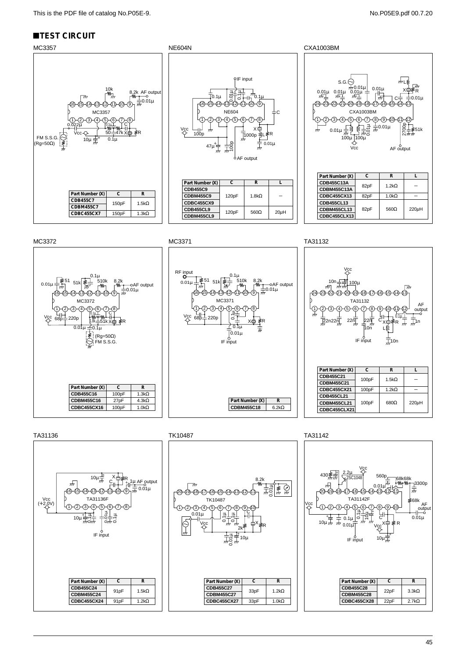# **TEST CIRCUIT**

#### MC3357 NE604N NE604N CXA1003BM  $\frac{1}{2}$  o.1µ  $\frac{1}{2}$   $\frac{1}{2}$   $\frac{1}{2}$   $\frac{1}{2}$   $\frac{1}{2}$   $\frac{1}{2}$   $\frac{1}{2}$   $\frac{1}{2}$   $\frac{1}{2}$   $\frac{1}{2}$   $\frac{1}{2}$   $\frac{1}{2}$   $\frac{1}{2}$   $\frac{1}{2}$   $\frac{1}{2}$   $\frac{1}{2}$   $\frac{1}{2}$   $\frac{1}{2}$   $\frac{1}{2}$   $\frac{1}{2}$   $\frac{1}{$ 10k<br>-W<sub>D</sub> 8,2k AF output  $\frac{1}{20.01\mu}$ (16)–(15)–(14)–(13)–(12)–(11)–(10)–(9 16-15-14-13-12-11-10 15-14-13-12-11-10-(9 NE604 MC3357  $(3)$   $(4)$  $\sqrt{5}$ 1  $2)$  - (3  $4)$  (5)  $(6)$  (7 8 0.022µ 0.1<sup>µ</sup> C Vcc X  $50$ Vcc x≑ ₹R 100p īaoon ತ<mark>ಿ</mark> FM S.S.G.  $\bigcirc$   $\bigcirc$  10µ  $\frac{1}{27}$  + 10µ  $\frac{1}{27}$  $0.1<sub>µ</sub>$  $\frac{1}{\lambda}$ 47µ W :Ē İ  $6$ AF output **Part Number (X) C R CDB455C9 Part Number (X) C R CDBM455C9** 120pF 1.8kΩ **CDB455C7** 150pF 1.5kΩ **CDBC455CX9 CDBM455C7 CDB455CL9** 560Ω 120pF **CDBC455CX7** 150pF 1.3kO **CDBM455CL9**

| S.G.<br>"⊔ਇ<br><del>ル</del> 0.01μ<br>$0.01\mu$<br>Χŝ<br>$\frac{0.01 \mu}{77}$<br>$\frac{0.01\mu}{\hbar^2}$<br>$^{0.01\mu}_{\overline{77\pm}}$<br>र्गत<br>$0.01\mu$<br>İ۶<br>16<br>17<br><b>CXA1003BM</b><br>1<br>8<br>10<br>9<br>6<br>$\begin{matrix} 8 \\ 8 \\ 8 \\ \pi \pi \end{matrix}$<br>$\overline{77}$ 0.01µ<br><i>≩</i> 51k<br>$0.01\mu$<br>777<br>777<br>$100\mu$<br>100μ<br>Vcc<br>AF output<br>$\mathsf{R}$<br>L |           |              |            |
|-----------------------------------------------------------------------------------------------------------------------------------------------------------------------------------------------------------------------------------------------------------------------------------------------------------------------------------------------------------------------------------------------------------------------------|-----------|--------------|------------|
| Part Number (X)                                                                                                                                                                                                                                                                                                                                                                                                             |           |              |            |
| <b>CDB455C13A</b>                                                                                                                                                                                                                                                                                                                                                                                                           |           | $1.2k\Omega$ |            |
| <b>CDBM455C13A</b>                                                                                                                                                                                                                                                                                                                                                                                                          | C<br>82pF |              |            |
| <b>CDBC455CX13</b>                                                                                                                                                                                                                                                                                                                                                                                                          | 82pF      | $1.0k\Omega$ |            |
| <b>CDB455CL13</b>                                                                                                                                                                                                                                                                                                                                                                                                           |           |              |            |
| <b>CDBM455CL13</b>                                                                                                                                                                                                                                                                                                                                                                                                          | 82pF      | $560\Omega$  | $220\mu$ H |
| CDBC455CLX13                                                                                                                                                                                                                                                                                                                                                                                                                |           |              |            |





 $= 0.01 \mu$ 

**L**  $\overline{a}$ 

 $20\mu$ H

L≹R







TA31136 TK10487 TA31142

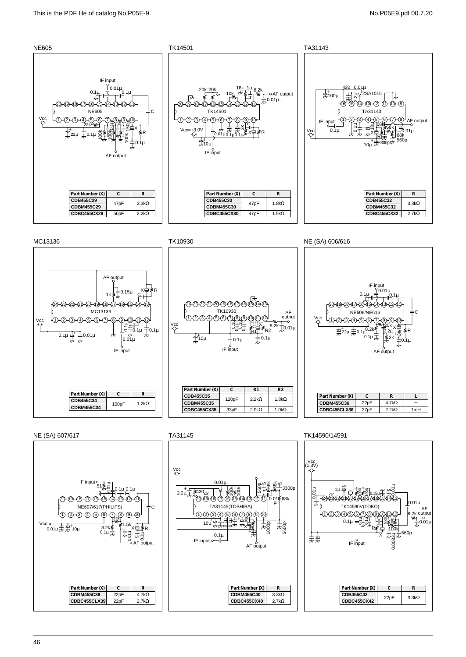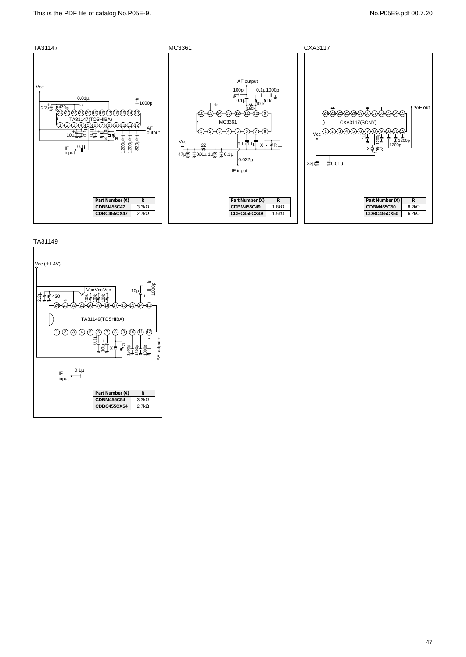



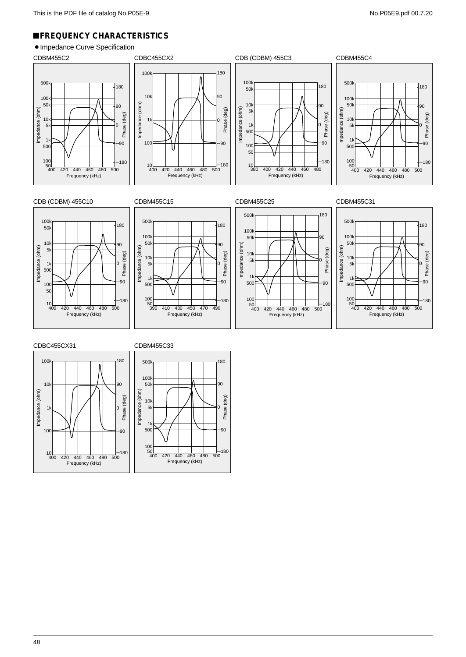# !**FREQUENCY CHARACTERISTICS**

# • Impedance Curve Specification

















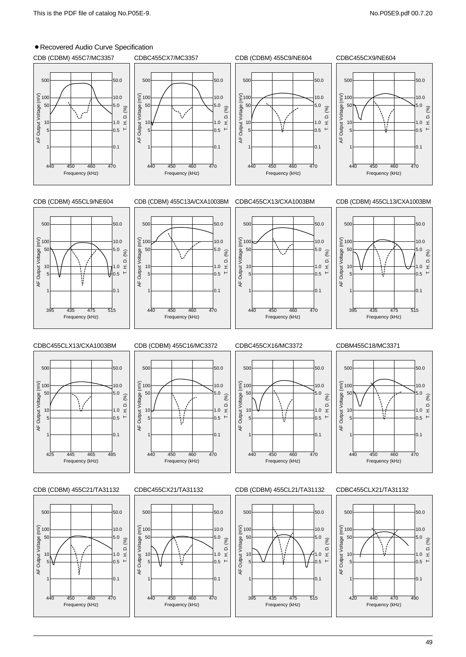# • Recovered Audio Curve Specification

Frequency (kHz)

Frequency (kHz)

Frequency (kHz)

395 435 475 515

440 450 460 470

440 450 460 470



Frequency (kHz) 420 440 470 490

49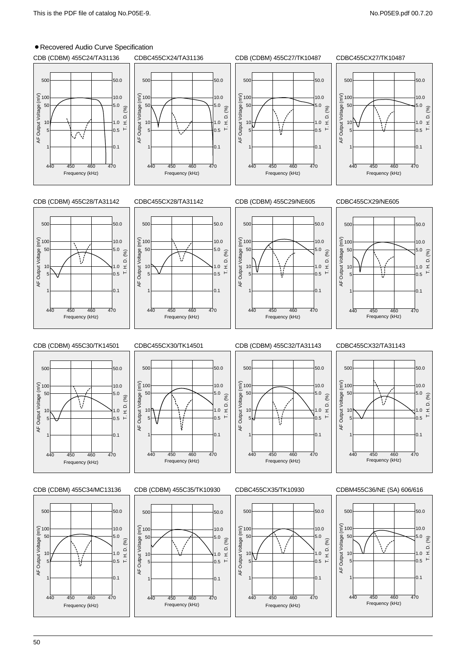# • Recovered Audio Curve Specification



50

Frequency (kHz)

Frequency (kHz)

Frequency (kHz) 440 450 460 470

Frequency (kHz)

440 450 460 470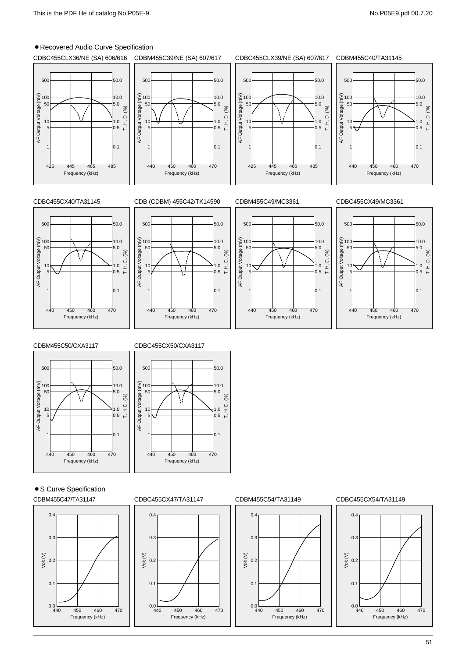# **• Recovered Audio Curve Specification**











CDBM455C50/CXA3117



#### CDBC455CX50/CXA3117



• S Curve Specification

#### CDBM455C47/TA31147







#### CDBC455CX47/TA31147 CDBM455C54/TA31149 CDBC455CX54/TA31149